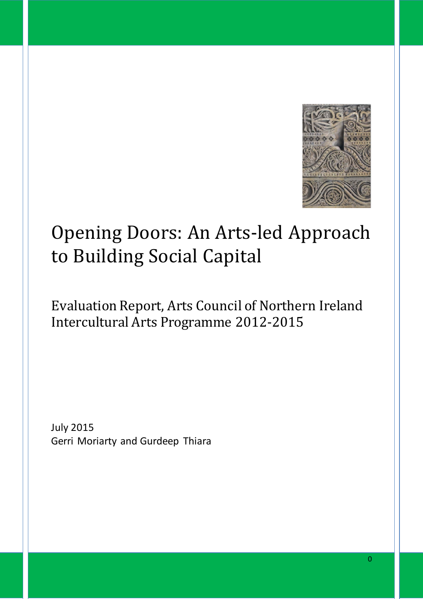

# Opening Doors: An Arts-led Approach to Building Social Capital

# Evaluation Report, Arts Council of Northern Ireland Intercultural Arts Programme 2012-2015

July 2015 Gerri Moriarty and Gurdeep Thiara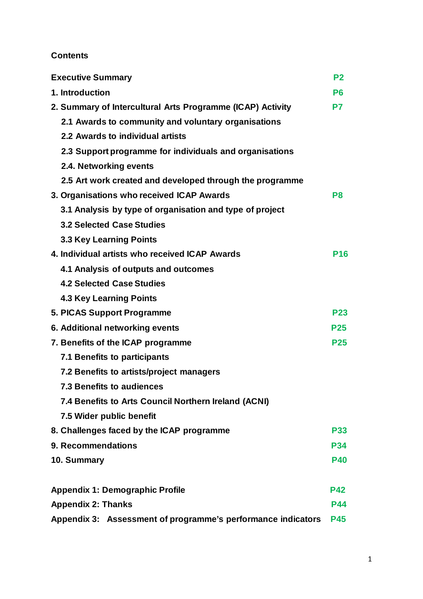# **Contents**

| <b>Executive Summary</b>                                     | P <sub>2</sub> |
|--------------------------------------------------------------|----------------|
| 1. Introduction                                              | P <sub>6</sub> |
| 2. Summary of Intercultural Arts Programme (ICAP) Activity   | P7             |
| 2.1 Awards to community and voluntary organisations          |                |
| 2.2 Awards to individual artists                             |                |
| 2.3 Support programme for individuals and organisations      |                |
| 2.4. Networking events                                       |                |
| 2.5 Art work created and developed through the programme     |                |
| 3. Organisations who received ICAP Awards                    | P8             |
| 3.1 Analysis by type of organisation and type of project     |                |
| <b>3.2 Selected Case Studies</b>                             |                |
| 3.3 Key Learning Points                                      |                |
| 4. Individual artists who received ICAP Awards               | <b>P16</b>     |
| 4.1 Analysis of outputs and outcomes                         |                |
| <b>4.2 Selected Case Studies</b>                             |                |
| <b>4.3 Key Learning Points</b>                               |                |
| 5. PICAS Support Programme                                   | <b>P23</b>     |
| 6. Additional networking events                              | <b>P25</b>     |
| 7. Benefits of the ICAP programme                            | <b>P25</b>     |
| 7.1 Benefits to participants                                 |                |
| 7.2 Benefits to artists/project managers                     |                |
| <b>7.3 Benefits to audiences</b>                             |                |
| 7.4 Benefits to Arts Council Northern Ireland (ACNI)         |                |
| 7.5 Wider public benefit                                     |                |
| 8. Challenges faced by the ICAP programme                    | <b>P33</b>     |
| 9. Recommendations                                           | <b>P34</b>     |
| 10. Summary                                                  | <b>P40</b>     |
|                                                              |                |
| <b>Appendix 1: Demographic Profile</b>                       | <b>P42</b>     |
| <b>Appendix 2: Thanks</b>                                    | <b>P44</b>     |
| Appendix 3: Assessment of programme's performance indicators | <b>P45</b>     |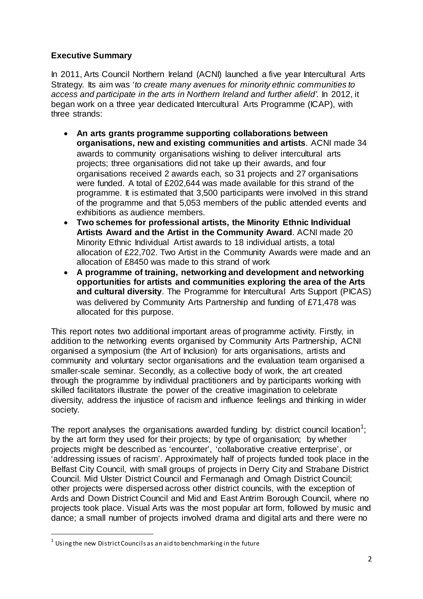# **Executive Summary**

In 2011, Arts Council Northern Ireland (ACNI) launched a five year Intercultural Arts Strategy. Its aim was '*to create many avenues for minority ethnic communities to access and participate in the arts in Northern Ireland and further afield'*. In 2012, it began work on a three year dedicated Intercultural Arts Programme (ICAP), with three strands:

- **An arts grants programme supporting collaborations between organisations, new and existing communities and artists**. ACNI made 34 awards to community organisations wishing to deliver intercultural arts projects; three organisations did not take up their awards, and four organisations received 2 awards each, so 31 projects and 27 organisations were funded. A total of £202,644 was made available for this strand of the programme. It is estimated that 3,500 participants were involved in this strand of the programme and that 5,053 members of the public attended events and exhibitions as audience members.
- **Two schemes for professional artists, the Minority Ethnic Individual Artists Award and the Artist in the Community Award**. ACNI made 20 Minority Ethnic Individual Artist awards to 18 individual artists, a total allocation of £22,702. Two Artist in the Community Awards were made and an allocation of £8450 was made to this strand of work
- **A programme of training, networking and development and networking opportunities for artists and communities exploring the area of the Arts and cultural diversity**. The Programme for Intercultural Arts Support (PICAS) was delivered by Community Arts Partnership and funding of £71,478 was allocated for this purpose.

This report notes two additional important areas of programme activity. Firstly, in addition to the networking events organised by Community Arts Partnership, ACNI organised a symposium (the Art of Inclusion) for arts organisations, artists and community and voluntary sector organisations and the evaluation team organised a smaller-scale seminar. Secondly, as a collective body of work, the art created through the programme by individual practitioners and by participants working with skilled facilitators illustrate the power of the creative imagination to celebrate diversity, address the injustice of racism and influence feelings and thinking in wider society.

The report analyses the organisations awarded funding by: district council location<sup>[1](#page-2-0)</sup>; by the art form they used for their projects; by type of organisation; by whether projects might be described as 'encounter', 'collaborative creative enterprise', or 'addressing issues of racism'. Approximately half of projects funded took place in the Belfast City Council, with small groups of projects in Derry City and Strabane District Council. Mid Ulster District Council and Fermanagh and Omagh District Council; other projects were dispersed across other district councils, with the exception of Ards and Down District Council and Mid and East Antrim Borough Council, where no projects took place. Visual Arts was the most popular art form, followed by music and dance; a small number of projects involved drama and digital arts and there were no

<span id="page-2-0"></span> $1$  Using the new District Councils as an aid to benchmarking in the future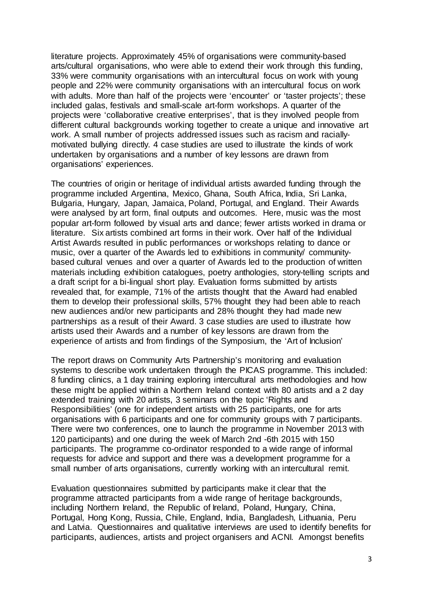literature projects. Approximately 45% of organisations were community-based arts/cultural organisations, who were able to extend their work through this funding, 33% were community organisations with an intercultural focus on work with young people and 22% were community organisations with an intercultural focus on work with adults. More than half of the projects were 'encounter' or 'taster projects'; these included galas, festivals and small-scale art-form workshops. A quarter of the projects were 'collaborative creative enterprises', that is they involved people from different cultural backgrounds working together to create a unique and innovative art work. A small number of projects addressed issues such as racism and raciallymotivated bullying directly. 4 case studies are used to illustrate the kinds of work undertaken by organisations and a number of key lessons are drawn from organisations' experiences.

The countries of origin or heritage of individual artists awarded funding through the programme included Argentina, Mexico, Ghana, South Africa, India, Sri Lanka, Bulgaria, Hungary, Japan, Jamaica, Poland, Portugal, and England. Their Awards were analysed by art form, final outputs and outcomes. Here, music was the most popular art-form followed by visual arts and dance; fewer artists worked in drama or literature. Six artists combined art forms in their work. Over half of the Individual Artist Awards resulted in public performances or workshops relating to dance or music, over a quarter of the Awards led to exhibitions in community/ communitybased cultural venues and over a quarter of Awards led to the production of written materials including exhibition catalogues, poetry anthologies, story-telling scripts and a draft script for a bi-lingual short play. Evaluation forms submitted by artists revealed that, for example, 71% of the artists thought that the Award had enabled them to develop their professional skills, 57% thought they had been able to reach new audiences and/or new participants and 28% thought they had made new partnerships as a result of their Award. 3 case studies are used to illustrate how artists used their Awards and a number of key lessons are drawn from the experience of artists and from findings of the Symposium, the 'Art of Inclusion'

The report draws on Community Arts Partnership's monitoring and evaluation systems to describe work undertaken through the PICAS programme. This included: 8 funding clinics, a 1 day training exploring intercultural arts methodologies and how these might be applied within a Northern Ireland context with 80 artists and a 2 day extended training with 20 artists, 3 seminars on the topic 'Rights and Responsibilities' (one for independent artists with 25 participants, one for arts organisations with 6 participants and one for community groups with 7 participants. There were two conferences, one to launch the programme in November 2013 with 120 participants) and one during the week of March 2nd -6th 2015 with 150 participants. The programme co-ordinator responded to a wide range of informal requests for advice and support and there was a development programme for a small number of arts organisations, currently working with an intercultural remit.

Evaluation questionnaires submitted by participants make it clear that the programme attracted participants from a wide range of heritage backgrounds, including Northern Ireland, the Republic of Ireland, Poland, Hungary, China, Portugal, Hong Kong, Russia, Chile, England, India, Bangladesh, Lithuania, Peru and Latvia. Questionnaires and qualitative interviews are used to identify benefits for participants, audiences, artists and project organisers and ACNI. Amongst benefits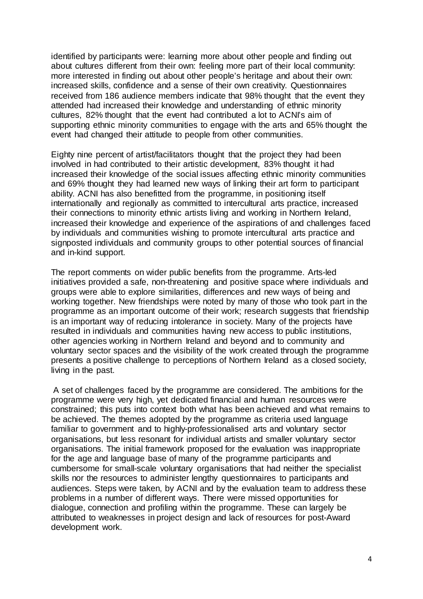identified by participants were: learning more about other people and finding out about cultures different from their own: feeling more part of their local community: more interested in finding out about other people's heritage and about their own: increased skills, confidence and a sense of their own creativity. Questionnaires received from 186 audience members indicate that 98% thought that the event they attended had increased their knowledge and understanding of ethnic minority cultures, 82% thought that the event had contributed a lot to ACNI's aim of supporting ethnic minority communities to engage with the arts and 65% thought the event had changed their attitude to people from other communities.

Eighty nine percent of artist/facilitators thought that the project they had been involved in had contributed to their artistic development, 83% thought it had increased their knowledge of the social issues affecting ethnic minority communities and 69% thought they had learned new ways of linking their art form to participant ability. ACNI has also benefitted from the programme, in positioning itself internationally and regionally as committed to intercultural arts practice, increased their connections to minority ethnic artists living and working in Northern Ireland, increased their knowledge and experience of the aspirations of and challenges faced by individuals and communities wishing to promote intercultural arts practice and signposted individuals and community groups to other potential sources of financial and in-kind support.

The report comments on wider public benefits from the programme. Arts-led initiatives provided a safe, non-threatening and positive space where individuals and groups were able to explore similarities, differences and new ways of being and working together. New friendships were noted by many of those who took part in the programme as an important outcome of their work; research suggests that friendship is an important way of reducing intolerance in society. Many of the projects have resulted in individuals and communities having new access to public institutions, other agencies working in Northern Ireland and beyond and to community and voluntary sector spaces and the visibility of the work created through the programme presents a positive challenge to perceptions of Northern Ireland as a closed society, living in the past.

A set of challenges faced by the programme are considered. The ambitions for the programme were very high, yet dedicated financial and human resources were constrained; this puts into context both what has been achieved and what remains to be achieved. The themes adopted by the programme as criteria used language familiar to government and to highly-professionalised arts and voluntary sector organisations, but less resonant for individual artists and smaller voluntary sector organisations. The initial framework proposed for the evaluation was inappropriate for the age and language base of many of the programme participants and cumbersome for small-scale voluntary organisations that had neither the specialist skills nor the resources to administer lengthy questionnaires to participants and audiences. Steps were taken, by ACNI and by the evaluation team to address these problems in a number of different ways. There were missed opportunities for dialogue, connection and profiling within the programme. These can largely be attributed to weaknesses in project design and lack of resources for post-Award development work.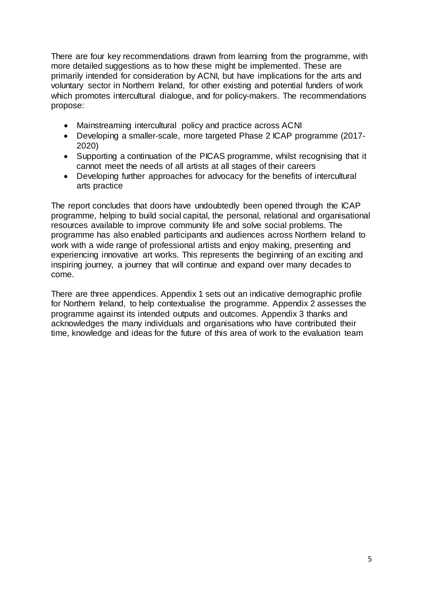There are four key recommendations drawn from learning from the programme, with more detailed suggestions as to how these might be implemented. These are primarily intended for consideration by ACNI, but have implications for the arts and voluntary sector in Northern Ireland, for other existing and potential funders of work which promotes intercultural dialogue, and for policy-makers. The recommendations propose:

- Mainstreaming intercultural policy and practice across ACNI
- Developing a smaller-scale, more targeted Phase 2 ICAP programme (2017- 2020)
- Supporting a continuation of the PICAS programme, whilst recognising that it cannot meet the needs of all artists at all stages of their careers
- Developing further approaches for advocacy for the benefits of intercultural arts practice

The report concludes that doors have undoubtedly been opened through the ICAP programme, helping to build social capital, the personal, relational and organisational resources available to improve community life and solve social problems. The programme has also enabled participants and audiences across Northern Ireland to work with a wide range of professional artists and enjoy making, presenting and experiencing innovative art works. This represents the beginning of an exciting and inspiring journey, a journey that will continue and expand over many decades to come.

There are three appendices. Appendix 1 sets out an indicative demographic profile for Northern Ireland, to help contextualise the programme. Appendix 2 assesses the programme against its intended outputs and outcomes. Appendix 3 thanks and acknowledges the many individuals and organisations who have contributed their time, knowledge and ideas for the future of this area of work to the evaluation team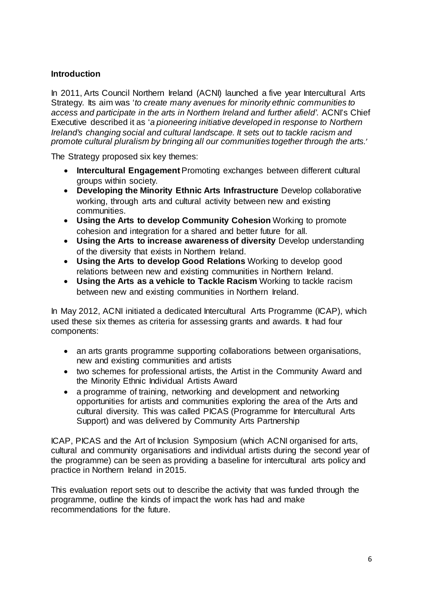# **Introduction**

In 2011, Arts Council Northern Ireland (ACNI) launched a five year Intercultural Arts Strategy. Its aim was '*to create many avenues for minority ethnic communities to access and participate in the arts in Northern Ireland and further afield'*. ACNI's Chief Executive described it as '*a pioneering initiative developed in response to Northern Ireland's changing social and cultural landscape. It sets out to tackle racism and promote cultural pluralism by bringing all our communities together through the arts.*'

The Strategy proposed six key themes:

- **Intercultural Engagement**Promoting exchanges between different cultural groups within society.
- **Developing the Minority Ethnic Arts Infrastructure** Develop collaborative working, through arts and cultural activity between new and existing communities.
- **Using the Arts to develop Community Cohesion** Working to promote cohesion and integration for a shared and better future for all.
- **Using the Arts to increase awareness of diversity** Develop understanding of the diversity that exists in Northern Ireland.
- **Using the Arts to develop Good Relations** Working to develop good relations between new and existing communities in Northern Ireland.
- **Using the Arts as a vehicle to Tackle Racism** Working to tackle racism between new and existing communities in Northern Ireland.

In May 2012, ACNI initiated a dedicated Intercultural Arts Programme (ICAP), which used these six themes as criteria for assessing grants and awards. It had four components:

- an arts grants programme supporting collaborations between organisations, new and existing communities and artists
- two schemes for professional artists, the Artist in the Community Award and the Minority Ethnic Individual Artists Award
- a programme of training, networking and development and networking opportunities for artists and communities exploring the area of the Arts and cultural diversity. This was called PICAS (Programme for Intercultural Arts Support) and was delivered by Community Arts Partnership

ICAP, PICAS and the Art of Inclusion Symposium (which ACNI organised for arts, cultural and community organisations and individual artists during the second year of the programme) can be seen as providing a baseline for intercultural arts policy and practice in Northern Ireland in 2015.

This evaluation report sets out to describe the activity that was funded through the programme, outline the kinds of impact the work has had and make recommendations for the future.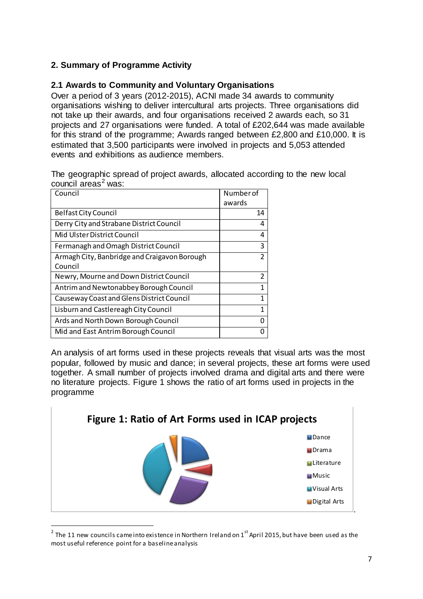# **2. Summary of Programme Activity**

# **2.1 Awards to Community and Voluntary Organisations**

Over a period of 3 years (2012-2015), ACNI made 34 awards to community organisations wishing to deliver intercultural arts projects. Three organisations did not take up their awards, and four organisations received 2 awards each, so 31 projects and 27 organisations were funded. A total of £202,644 was made available for this strand of the programme; Awards ranged between £2,800 and £10,000. It is estimated that 3,500 participants were involved in projects and 5,053 attended events and exhibitions as audience members.

The geographic spread of project awards, allocated according to the new local council areas<sup>[2](#page-7-0)</sup> was:

| Council                                      | Number of      |
|----------------------------------------------|----------------|
|                                              | awards         |
| Belfast City Council                         | 14             |
| Derry City and Strabane District Council     | 4              |
| Mid Ulster District Council                  | 4              |
| Fermanagh and Omagh District Council         | 3              |
| Armagh City, Banbridge and Craigavon Borough | $\overline{2}$ |
| Council                                      |                |
| Newry, Mourne and Down District Council      | $\overline{2}$ |
| Antrim and Newtonabbey Borough Council       | 1              |
| Causeway Coast and Glens District Council    | 1              |
| Lisburn and Castlereagh City Council         | 1              |
| Ards and North Down Borough Council          | O              |
| Mid and East Antrim Borough Council          | n              |

An analysis of art forms used in these projects reveals that visual arts was the most popular, followed by music and dance; in several projects, these art forms were used together. A small number of projects involved drama and digital arts and there were no literature projects. Figure 1 shows the ratio of art forms used in projects in the programme



<span id="page-7-0"></span> $2$  The 11 new councils came into existence in Northern Ireland on 1st April 2015, but have been used as the most useful reference point for a baseline analysis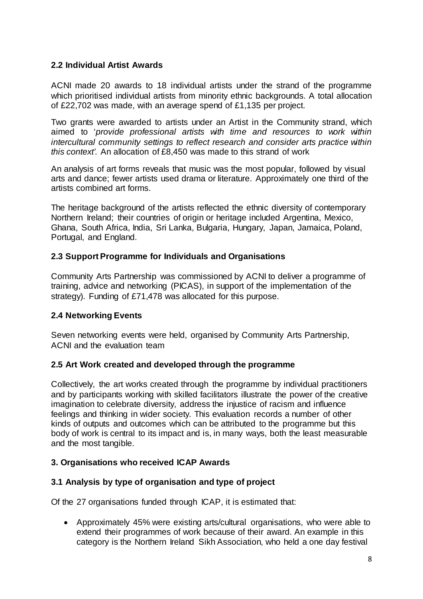# **2.2 Individual Artist Awards**

ACNI made 20 awards to 18 individual artists under the strand of the programme which prioritised individual artists from minority ethnic backgrounds. A total allocation of £22,702 was made, with an average spend of £1,135 per project.

Two grants were awarded to artists under an Artist in the Community strand, which aimed to '*provide professional artists with time and resources to work within intercultural community settings to reflect research and consider arts practice within this context'*. An allocation of £8,450 was made to this strand of work

An analysis of art forms reveals that music was the most popular, followed by visual arts and dance; fewer artists used drama or literature. Approximately one third of the artists combined art forms.

The heritage background of the artists reflected the ethnic diversity of contemporary Northern Ireland; their countries of origin or heritage included Argentina, Mexico, Ghana, South Africa, India, Sri Lanka, Bulgaria, Hungary, Japan, Jamaica, Poland, Portugal, and England.

#### **2.3 Support Programme for Individuals and Organisations**

Community Arts Partnership was commissioned by ACNI to deliver a programme of training, advice and networking (PICAS), in support of the implementation of the strategy). Funding of £71,478 was allocated for this purpose.

#### **2.4 Networking Events**

Seven networking events were held, organised by Community Arts Partnership, ACNI and the evaluation team

#### **2.5 Art Work created and developed through the programme**

Collectively, the art works created through the programme by individual practitioners and by participants working with skilled facilitators illustrate the power of the creative imagination to celebrate diversity, address the injustice of racism and influence feelings and thinking in wider society. This evaluation records a number of other kinds of outputs and outcomes which can be attributed to the programme but this body of work is central to its impact and is, in many ways, both the least measurable and the most tangible.

#### **3. Organisations who received ICAP Awards**

#### **3.1 Analysis by type of organisation and type of project**

Of the 27 organisations funded through ICAP, it is estimated that:

• Approximately 45% were existing arts/cultural organisations, who were able to extend their programmes of work because of their award. An example in this category is the Northern Ireland Sikh Association, who held a one day festival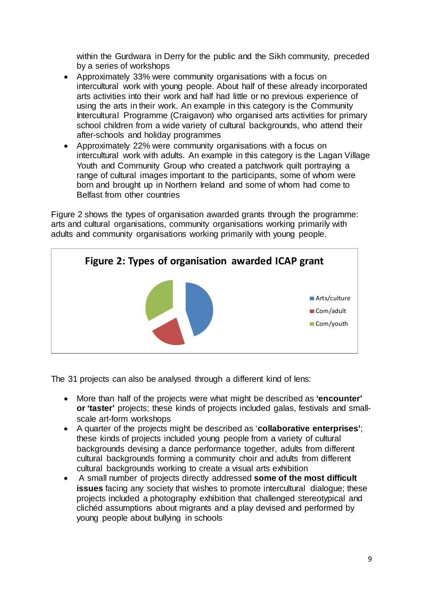within the Gurdwara in Derry for the public and the Sikh community, preceded by a series of workshops

- Approximately 33% were community organisations with a focus on intercultural work with young people. About half of these already incorporated arts activities into their work and half had little or no previous experience of using the arts in their work. An example in this category is the Community Intercultural Programme (Craigavon) who organised arts activities for primary school children from a wide variety of cultural backgrounds, who attend their after-schools and holiday programmes
- Approximately 22% were community organisations with a focus on intercultural work with adults. An example in this category is the Lagan Village Youth and Community Group who created a patchwork quilt portraying a range of cultural images important to the participants, some of whom were born and brought up in Northern Ireland and some of whom had come to Belfast from other countries

Figure 2 shows the types of organisation awarded grants through the programme: arts and cultural organisations, community organisations working primarily with adults and community organisations working primarily with young people.



The 31 projects can also be analysed through a different kind of lens:

- More than half of the projects were what might be described as **'encounter' or 'taster'** projects; these kinds of projects included galas, festivals and smallscale art-form workshops
- A quarter of the projects might be described as '**collaborative enterprises'**; these kinds of projects included young people from a variety of cultural backgrounds devising a dance performance together, adults from different cultural backgrounds forming a community choir and adults from different cultural backgrounds working to create a visual arts exhibition
- A small number of projects directly addressed **some of the most difficult issues** facing any society that wishes to promote intercultural dialogue; these projects included a photography exhibition that challenged stereotypical and clichéd assumptions about migrants and a play devised and performed by young people about bullying in schools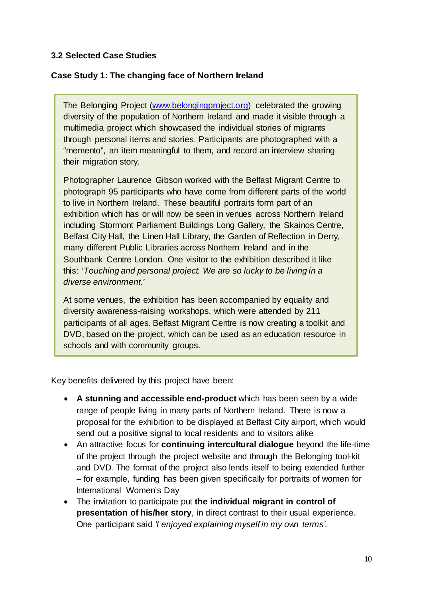# **3.2 Selected Case Studies**

# **Case Study 1: The changing face of Northern Ireland**

The Belonging Project [\(www.belongingproject.org\)](http://www.belongingproject.org/) celebrated the growing diversity of the population of Northern Ireland and made it visible through a multimedia project which showcased the individual stories of migrants through personal items and stories. Participants are photographed with a "memento", an item meaningful to them, and record an interview sharing their migration story.

Photographer Laurence Gibson worked with the Belfast Migrant Centre to photograph 95 participants who have come from different parts of the world to live in Northern Ireland. These beautiful portraits form part of an exhibition which has or will now be seen in venues across Northern Ireland including Stormont Parliament Buildings Long Gallery, the Skainos Centre, Belfast City Hall, the Linen Hall Library, the Garden of Reflection in Derry, many different Public Libraries across Northern Ireland and in the Southbank Centre London. One visitor to the exhibition described it like this: '*Touching and personal project. We are so lucky to be living in a diverse environment.'*

At some venues, the exhibition has been accompanied by equality and diversity awareness-raising workshops, which were attended by 211 participants of all ages. Belfast Migrant Centre is now creating a toolkit and DVD, based on the project, which can be used as an education resource in schools and with community groups.

Key benefits delivered by this project have been:

- **A stunning and accessible end-product** which has been seen by a wide range of people living in many parts of Northern Ireland. There is now a proposal for the exhibition to be displayed at Belfast City airport, which would send out a positive signal to local residents and to visitors alike
- An attractive focus for **continuing intercultural dialogue** beyond the life-time of the project through the project website and through the Belonging tool-kit and DVD. The format of the project also lends itself to being extended further – for example, funding has been given specifically for portraits of women for International Women's Day
- The invitation to participate put **the individual migrant in control of presentation of his/her story**, in direct contrast to their usual experience. One participant said *'I enjoyed explaining myself in my own terms'*.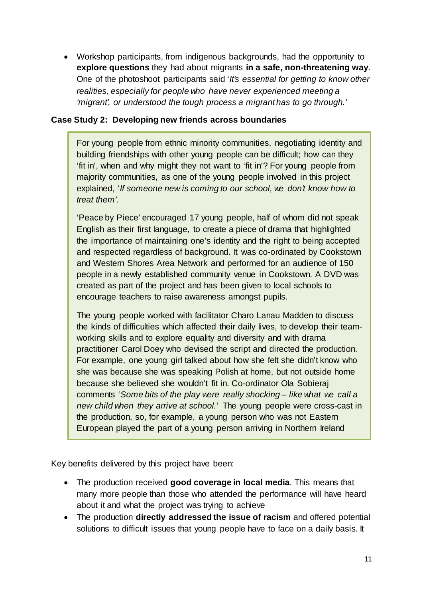• Workshop participants, from indigenous backgrounds, had the opportunity to **explore questions** they had about migrants **in a safe, non-threatening way**. One of the photoshoot participants said '*It's essential for getting to know other realities, especially for people who have never experienced meeting a 'migrant', or understood the tough process a migrant has to go through.'*

# **Case Study 2: Developing new friends across boundaries**

For young people from ethnic minority communities, negotiating identity and building friendships with other young people can be difficult; how can they 'fit in', when and why might they not want to 'fit in'? For young people from majority communities, as one of the young people involved in this project explained, '*If someone new is coming to our school, we don't know how to treat them'*.

'Peace by Piece' encouraged 17 young people, half of whom did not speak English as their first language, to create a piece of drama that highlighted the importance of maintaining one's identity and the right to being accepted and respected regardless of background. It was co-ordinated by Cookstown and Western Shores Area Network and performed for an audience of 150 people in a newly established community venue in Cookstown. A DVD was created as part of the project and has been given to local schools to encourage teachers to raise awareness amongst pupils.

The young people worked with facilitator Charo Lanau Madden to discuss the kinds of difficulties which affected their daily lives, to develop their teamworking skills and to explore equality and diversity and with drama practitioner Carol Doey who devised the script and directed the production. For example, one young girl talked about how she felt she didn't know who she was because she was speaking Polish at home, but not outside home because she believed she wouldn't fit in. Co-ordinator Ola Sobieraj comments '*Some bits of the play were really shocking – like what we call a new child when they arrive at school.'* The young people were cross-cast in the production, so, for example, a young person who was not Eastern European played the part of a young person arriving in Northern Ireland

Key benefits delivered by this project have been:

j

- The production received **good coverage in local media**. This means that many more people than those who attended the performance will have heard about it and what the project was trying to achieve
- The production **directly addressed the issue of racism** and offered potential solutions to difficult issues that young people have to face on a daily basis. It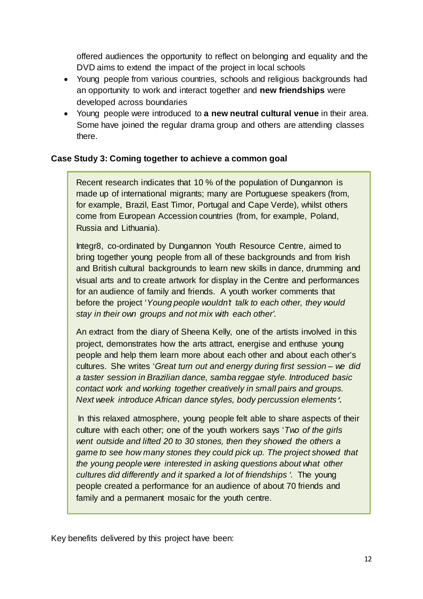offered audiences the opportunity to reflect on belonging and equality and the DVD aims to extend the impact of the project in local schools

- Young people from various countries, schools and religious backgrounds had an opportunity to work and interact together and **new friendships** were developed across boundaries
- Young people were introduced to **a new neutral cultural venue** in their area. Some have joined the regular drama group and others are attending classes there.

# **Case Study 3: Coming together to achieve a common goal**

Recent research indicates that 10 % of the population of Dungannon is made up of international migrants; many are Portuguese speakers (from, for example, Brazil, East Timor, Portugal and Cape Verde), whilst others come from European Accession countries (from, for example, Poland, Russia and Lithuania).

Integr8, co-ordinated by Dungannon Youth Resource Centre, aimed to bring together young people from all of these backgrounds and from Irish and British cultural backgrounds to learn new skills in dance, drumming and visual arts and to create artwork for display in the Centre and performances for an audience of family and friends. A youth worker comments that before the project '*Young people wouldn't talk to each other, they would stay in their own groups and not mix with each other'*.

An extract from the diary of Sheena Kelly, one of the artists involved in this project, demonstrates how the arts attract, energise and enthuse young people and help them learn more about each other and about each other's cultures. She writes '*Great turn out and energy during first session – we did a taster session in Brazilian dance, samba reggae style. Introduced basic contact work and working together creatively in small pairs and groups. Next week introduce African dance styles, body percussion elements '.*

In this relaxed atmosphere, young people felt able to share aspects of their culture with each other; one of the youth workers says '*Two of the girls went outside and lifted 20 to 30 stones, then they showed the others a game to see how many stones they could pick up. The project showed that the young people were interested in asking questions about what other cultures did differently and it sparked a lot of friendships '.* The young people created a performance for an audience of about 70 friends and family and a permanent mosaic for the youth centre.

Key benefits delivered by this project have been: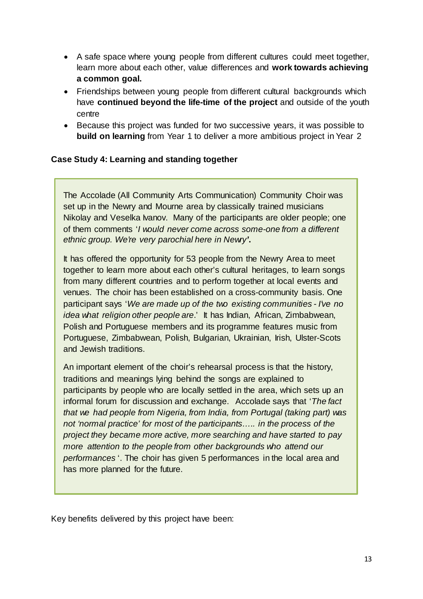- A safe space where young people from different cultures could meet together, learn more about each other, value differences and **work towards achieving a common goal.**
- Friendships between young people from different cultural backgrounds which have **continued beyond the life-time of the project** and outside of the youth centre
- Because this project was funded for two successive years, it was possible to **build on learning** from Year 1 to deliver a more ambitious project in Year 2

# **Case Study 4: Learning and standing together**

The Accolade (All Community Arts Communication) Community Choir was set up in the Newry and Mourne area by classically trained musicians Nikolay and Veselka Ivanov. Many of the participants are older people; one of them comments '*I would never come across some-one from a different ethnic group. We're very parochial here in Newry'***.** 

It has offered the opportunity for 53 people from the Newry Area to meet together to learn more about each other's cultural heritages, to learn songs from many different countries and to perform together at local events and venues. The choir has been established on a cross-community basis. One participant says '*We are made up of the two existing communities - I've no idea what religion other people are*.' It has Indian, African, Zimbabwean, Polish and Portuguese members and its programme features music from Portuguese, Zimbabwean, Polish, Bulgarian, Ukrainian, Irish, Ulster-Scots and Jewish traditions.

An important element of the choir's rehearsal process is that the history, traditions and meanings lying behind the songs are explained to participants by people who are locally settled in the area, which sets up an informal forum for discussion and exchange. Accolade says that '*The fact that we had people from Nigeria, from India, from Portugal (taking part) was not 'normal practice' for most of the participants….. in the process of the project they became more active, more searching and have started to pay more attention to the people from other backgrounds who attend our performances* '. The choir has given 5 performances in the local area and has more planned for the future.

Key benefits delivered by this project have been: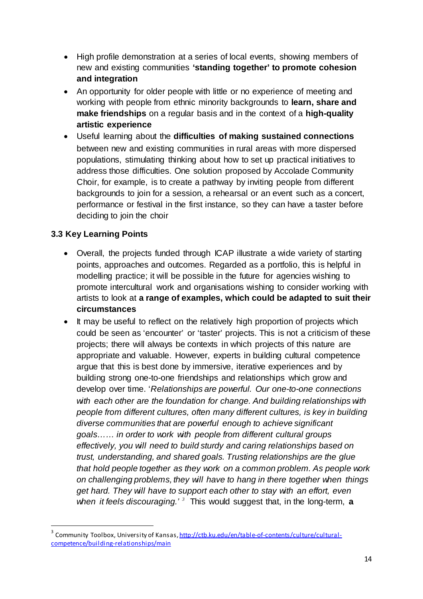- High profile demonstration at a series of local events, showing members of new and existing communities **'standing together' to promote cohesion and integration**
- An opportunity for older people with little or no experience of meeting and working with people from ethnic minority backgrounds to **learn, share and make friendships** on a regular basis and in the context of a **high-quality artistic experience**
- Useful learning about the **difficulties of making sustained connections** between new and existing communities in rural areas with more dispersed populations, stimulating thinking about how to set up practical initiatives to address those difficulties. One solution proposed by Accolade Community Choir, for example, is to create a pathway by inviting people from different backgrounds to join for a session, a rehearsal or an event such as a concert, performance or festival in the first instance, so they can have a taster before deciding to join the choir

# **3.3 Key Learning Points**

- Overall, the projects funded through ICAP illustrate a wide variety of starting points, approaches and outcomes. Regarded as a portfolio, this is helpful in modelling practice; it will be possible in the future for agencies wishing to promote intercultural work and organisations wishing to consider working with artists to look at **a range of examples, which could be adapted to suit their circumstances**
- It may be useful to reflect on the relatively high proportion of projects which could be seen as 'encounter' or 'taster' projects. This is not a criticism of these projects; there will always be contexts in which projects of this nature are appropriate and valuable. However, experts in building cultural competence argue that this is best done by immersive, iterative experiences and by building strong one-to-one friendships and relationships which grow and develop over time. '*Relationships are powerful. Our one-to-one connections with each other are the foundation for change. And building relationships with people from different cultures, often many different cultures, is key in building diverse communities that are powerful enough to achieve significant goals…… in order to work with people from different cultural groups effectively, you will need to build sturdy and caring relationships based on trust, understanding, and shared goals. Trusting relationships are the glue that hold people together as they work on a common problem. As people work on challenging problems, they will have to hang in there together when things get hard. They will have to support each other to stay with an effort, even when it feels discouraging.' [3](#page-14-0)* This would suggest that, in the long-term, **a**

<span id="page-14-0"></span><sup>&</sup>lt;sup>3</sup> Community Toolbox, University of Kansas[, http://ctb.ku.edu/en/table-of-contents/culture/cultural](http://ctb.ku.edu/en/table-of-contents/culture/cultural-competence/building-relationships/main)[competence/building-relationships/main](http://ctb.ku.edu/en/table-of-contents/culture/cultural-competence/building-relationships/main)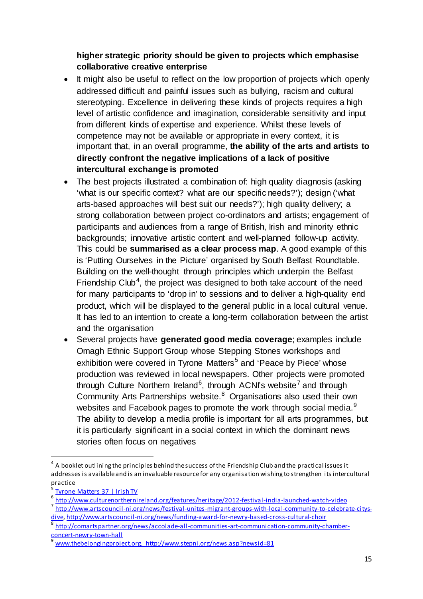# **higher strategic priority should be given to projects which emphasise collaborative creative enterprise**

- It might also be useful to reflect on the low proportion of projects which openly addressed difficult and painful issues such as bullying, racism and cultural stereotyping. Excellence in delivering these kinds of projects requires a high level of artistic confidence and imagination, considerable sensitivity and input from different kinds of expertise and experience. Whilst these levels of competence may not be available or appropriate in every context, it is important that, in an overall programme, **the ability of the arts and artists to directly confront the negative implications of a lack of positive intercultural exchange is promoted**
- The best projects illustrated a combination of: high quality diagnosis (asking 'what is our specific context? what are our specific needs?'); design ('what arts-based approaches will best suit our needs?'); high quality delivery; a strong collaboration between project co-ordinators and artists; engagement of participants and audiences from a range of British, Irish and minority ethnic backgrounds; innovative artistic content and well-planned follow-up activity. This could be **summarised as a clear process map**. A good example of this is 'Putting Ourselves in the Picture' organised by South Belfast Roundtable. Building on the well-thought through principles which underpin the Belfast Friendship Club<sup>[4](#page-15-0)</sup>, the project was designed to both take account of the need for many participants to 'drop in' to sessions and to deliver a high-quality end product, which will be displayed to the general public in a local cultural venue. It has led to an intention to create a long-term collaboration between the artist and the organisation
- Several projects have **generated good media coverage**; examples include Omagh Ethnic Support Group whose Stepping Stones workshops and exhibition were covered in Tyrone Matters<sup>[5](#page-15-1)</sup> and 'Peace by Piece' whose production was reviewed in local newspapers. Other projects were promoted through Culture Northern Ireland<sup>[6](#page-15-2)</sup>, through ACNI's website<sup>[7](#page-15-3)</sup> and through Community Arts Partnerships website.<sup>[8](#page-15-4)</sup> Organisations also used their own websites and Facebook pages to promote the work through social media. $9$ The ability to develop a media profile is important for all arts programmes, but it is particularly significant in a social context in which the dominant news stories often focus on negatives

<span id="page-15-0"></span><sup>&</sup>lt;sup>4</sup> A booklet outlining the principles behind the success of the Friendship Club and the practical issues it addresses is available and is an invaluable resource for any organisation wishing to strengthen its intercultural practice

<span id="page-15-2"></span><span id="page-15-1"></span>[Tyrone Matters 37 | Irish TV](http://www.irishtv.ie/tyrone-matters-37/)<br>http://www.culturenorthernireland.org/features/heritage/2012-festival-india-launched-watch-video

<span id="page-15-3"></span>[http://www.artscouncil-ni.org/news/festival-unites-migrant-groups-with-local-community-to-celebrate-citys](http://www.artscouncil-ni.org/news/festival-unites-migrant-groups-with-local-community-to-celebrate-citys-dive)[dive,](http://www.artscouncil-ni.org/news/festival-unites-migrant-groups-with-local-community-to-celebrate-citys-dive)<http://www.artscouncil-ni.org/news/funding-award-for-newry-based-cross-cultural-choir>

<span id="page-15-4"></span><sup>&</sup>lt;sup>8</sup> http://comartspartner.org/news/accolade-all-communities-art-communication-community-chamber-<br>concert-newry-town-hall

<span id="page-15-5"></span>[www.thebelongingproject.org,](http://www.thebelongingproject.org/) http://www.stepni.org/news.asp?newsid=81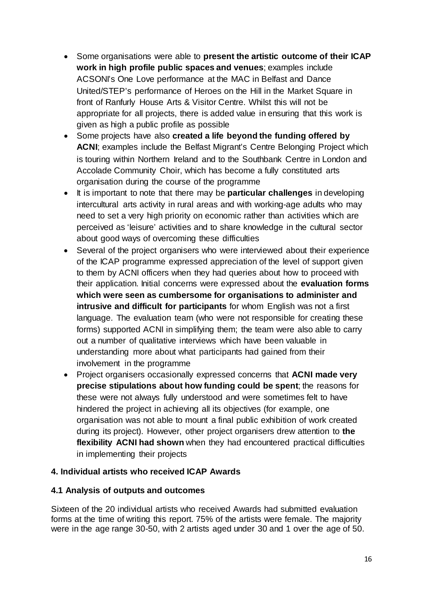- Some organisations were able to **present the artistic outcome of their ICAP work in high profile public spaces and venues**; examples include ACSONI's One Love performance at the MAC in Belfast and Dance United/STEP's performance of Heroes on the Hill in the Market Square in front of Ranfurly House Arts & Visitor Centre. Whilst this will not be appropriate for all projects, there is added value in ensuring that this work is given as high a public profile as possible
- Some projects have also **created a life beyond the funding offered by ACNI**; examples include the Belfast Migrant's Centre Belonging Project which is touring within Northern Ireland and to the Southbank Centre in London and Accolade Community Choir, which has become a fully constituted arts organisation during the course of the programme
- It is important to note that there may be **particular challenges** in developing intercultural arts activity in rural areas and with working-age adults who may need to set a very high priority on economic rather than activities which are perceived as 'leisure' activities and to share knowledge in the cultural sector about good ways of overcoming these difficulties
- Several of the project organisers who were interviewed about their experience of the ICAP programme expressed appreciation of the level of support given to them by ACNI officers when they had queries about how to proceed with their application. Initial concerns were expressed about the **evaluation forms which were seen as cumbersome for organisations to administer and intrusive and difficult for participants** for whom English was not a first language. The evaluation team (who were not responsible for creating these forms) supported ACNI in simplifying them; the team were also able to carry out a number of qualitative interviews which have been valuable in understanding more about what participants had gained from their involvement in the programme
- Project organisers occasionally expressed concerns that **ACNI made very precise stipulations about how funding could be spent**; the reasons for these were not always fully understood and were sometimes felt to have hindered the project in achieving all its objectives (for example, one organisation was not able to mount a final public exhibition of work created during its project). However, other project organisers drew attention to **the flexibility ACNI had shown** when they had encountered practical difficulties in implementing their projects

# **4. Individual artists who received ICAP Awards**

#### **4.1 Analysis of outputs and outcomes**

Sixteen of the 20 individual artists who received Awards had submitted evaluation forms at the time of writing this report. 75% of the artists were female. The majority were in the age range 30-50, with 2 artists aged under 30 and 1 over the age of 50.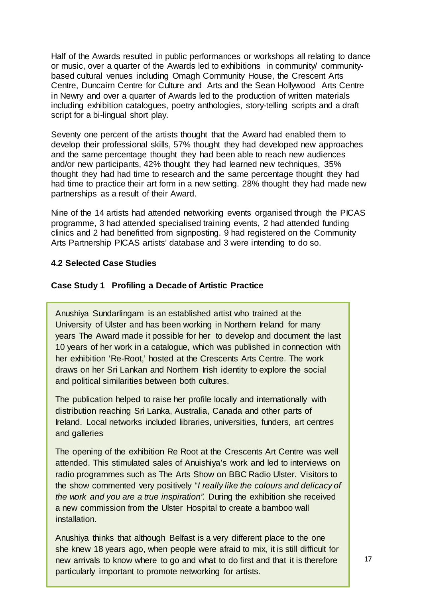Half of the Awards resulted in public performances or workshops all relating to dance or music, over a quarter of the Awards led to exhibitions in community/ communitybased cultural venues including Omagh Community House, the Crescent Arts Centre, Duncairn Centre for Culture and Arts and the Sean Hollywood Arts Centre in Newry and over a quarter of Awards led to the production of written materials including exhibition catalogues, poetry anthologies, story-telling scripts and a draft script for a bi-lingual short play.

Seventy one percent of the artists thought that the Award had enabled them to develop their professional skills, 57% thought they had developed new approaches and the same percentage thought they had been able to reach new audiences and/or new participants, 42% thought they had learned new techniques, 35% thought they had had time to research and the same percentage thought they had had time to practice their art form in a new setting. 28% thought they had made new partnerships as a result of their Award.

Nine of the 14 artists had attended networking events organised through the PICAS programme, 3 had attended specialised training events, 2 had attended funding clinics and 2 had benefitted from signposting. 9 had registered on the Community Arts Partnership PICAS artists' database and 3 were intending to do so.

#### **4.2 Selected Case Studies**

#### **Case Study 1 Profiling a Decade of Artistic Practice**

Anushiya Sundarlingam is an established artist who trained at the University of Ulster and has been working in Northern Ireland for many years The Award made it possible for her to develop and document the last 10 years of her work in a catalogue, which was published in connection with her exhibition 'Re-Root,' hosted at the Crescents Arts Centre. The work draws on her Sri Lankan and Northern Irish identity to explore the social and political similarities between both cultures.

The publication helped to raise her profile locally and internationally with distribution reaching Sri Lanka, Australia, Canada and other parts of Ireland. Local networks included libraries, universities, funders, art centres and galleries

The opening of the exhibition Re Root at the Crescents Art Centre was well attended. This stimulated sales of Anuishiya's work and led to interviews on radio programmes such as The Arts Show on BBC Radio Ulster. Visitors to the show commented very positively "*I really like the colours and delicacy of the work and you are a true inspiration".* During the exhibition she received a new commission from the Ulster Hospital to create a bamboo wall installation.

Anushiya thinks that although Belfast is a very different place to the one she knew 18 years ago, when people were afraid to mix, it is still difficult for new arrivals to know where to go and what to do first and that it is therefore particularly important to promote networking for artists.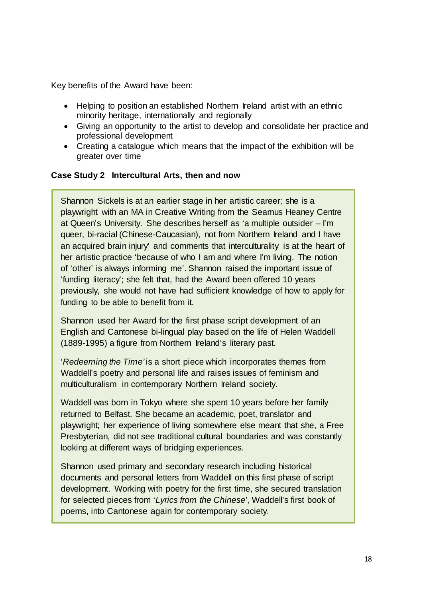Key benefits of the Award have been:

- Helping to position an established Northern Ireland artist with an ethnic minority heritage, internationally and regionally
- Giving an opportunity to the artist to develop and consolidate her practice and professional development
- Creating a catalogue which means that the impact of the exhibition will be greater over time

#### **Case Study 2 Intercultural Arts, then and now**

Shannon Sickels is at an earlier stage in her artistic career; she is a playwright with an MA in Creative Writing from the Seamus Heaney Centre at Queen's University. She describes herself as 'a multiple outsider – I'm queer, bi-racial (Chinese-Caucasian), not from Northern Ireland and I have an acquired brain injury' and comments that interculturality is at the heart of her artistic practice 'because of who I am and where I'm living. The notion of 'other' is always informing me'. Shannon raised the important issue of 'funding literacy'; she felt that, had the Award been offered 10 years previously, she would not have had sufficient knowledge of how to apply for funding to be able to benefit from it.

Shannon used her Award for the first phase script development of an English and Cantonese bi-lingual play based on the life of Helen Waddell (1889-1995) a figure from Northern Ireland's literary past.

'*Redeeming the Time'* is a short piece which incorporates themes from Waddell's poetry and personal life and raises issues of feminism and multiculturalism in contemporary Northern Ireland society.

Waddell was born in Tokyo where she spent 10 years before her family returned to Belfast. She became an academic, poet, translator and playwright; her experience of living somewhere else meant that she, a Free Presbyterian, did not see traditional cultural boundaries and was constantly looking at different ways of bridging experiences.

Shannon used primary and secondary research including historical documents and personal letters from Waddell on this first phase of script development. Working with poetry for the first time, she secured translation for selected pieces from '*Lyrics from the Chinese*', Waddell's first book of poems, into Cantonese again for contemporary society.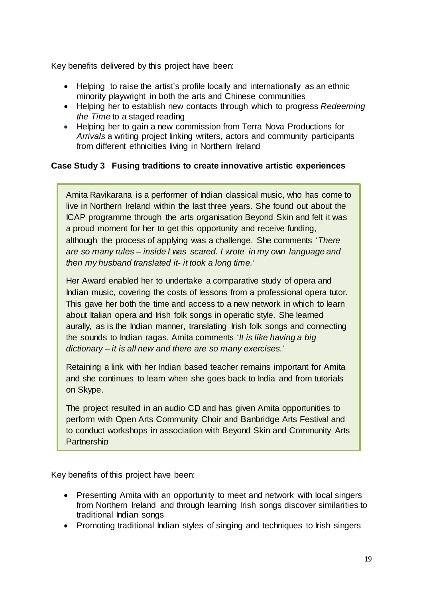Key benefits delivered by this project have been:

- Helping to raise the artist's profile locally and internationally as an ethnic minority playwright in both the arts and Chinese communities
- Helping her to establish new contacts through which to progress *Redeeming the Time* to a staged reading
- Helping her to gain a new commission from Terra Nova Productions for *Arrivals* a writing project linking writers, actors and community participants from different ethnicities living in Northern Ireland

### **Case Study 3 Fusing traditions to create innovative artistic experiences**

Amita Ravikarana is a performer of Indian classical music, who has come to live in Northern Ireland within the last three years. She found out about the ICAP programme through the arts organisation Beyond Skin and felt it was a proud moment for her to get this opportunity and receive funding, although the process of applying was a challenge. She comments '*There are so many rules – inside I was scared. I wrote in my own language and then my husband translated it- it took a long time.'*

Her Award enabled her to undertake a comparative study of opera and Indian music, covering the costs of lessons from a professional opera tutor. This gave her both the time and access to a new network in which to learn about Italian opera and Irish folk songs in operatic style. She learned aurally, as is the Indian manner, translating Irish folk songs and connecting the sounds to Indian ragas. Amita comments '*It is like having a big dictionary – it is all new and there are so many exercises.*'

Retaining a link with her Indian based teacher remains important for Amita and she continues to learn when she goes back to India and from tutorials on Skype.

The project resulted in an audio CD and has given Amita opportunities to perform with Open Arts Community Choir and Banbridge Arts Festival and to conduct workshops in association with Beyond Skin and Community Arts **Partnership** 

Key benefits of this project have been:

- Presenting Amita with an opportunity to meet and network with local singers from Northern Ireland and through learning Irish songs discover similarities to traditional Indian songs
- Promoting traditional Indian styles of singing and techniques to Irish singers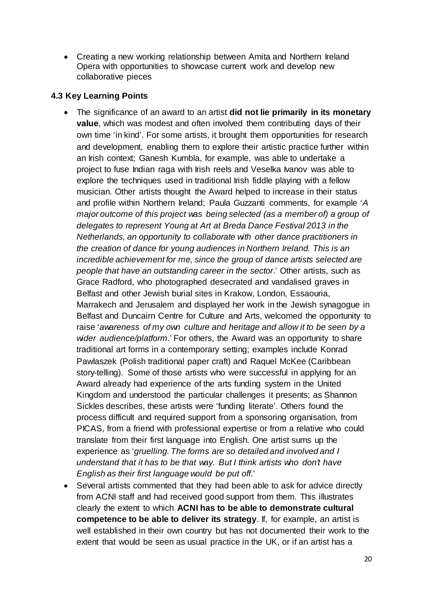• Creating a new working relationship between Amita and Northern Ireland Opera with opportunities to showcase current work and develop new collaborative pieces

# **4.3 Key Learning Points**

- The significance of an award to an artist **did not lie primarily in its monetary value**, which was modest and often involved them contributing days of their own time 'in kind'. For some artists, it brought them opportunities for research and development, enabling them to explore their artistic practice further within an Irish context; Ganesh Kumbla, for example, was able to undertake a project to fuse Indian raga with Irish reels and Veselka Ivanov was able to explore the techniques used in traditional Irish fiddle playing with a fellow musician. Other artists thought the Award helped to increase in their status and profile within Northern Ireland; Paula Guzzanti comments, for example '*A major outcome of this project was being selected (as a member of) a group of delegates to represent Young at Art at Breda Dance Festival 2013 in the Netherlands, an opportunity to collaborate with other dance practitioners in the creation of dance for young audiences in Northern Ireland. This is an incredible achievement for me, since the group of dance artists selected are people that have an outstanding career in the sector*.' Other artists, such as Grace Radford, who photographed desecrated and vandalised graves in Belfast and other Jewish burial sites in Krakow, London, Essaouria, Marrakech and Jerusalem and displayed her work in the Jewish synagogue in Belfast and Duncairn Centre for Culture and Arts, welcomed the opportunity to raise '*awareness of my own culture and heritage and allow it to be seen by a wider audience/platform.*' For others, the Award was an opportunity to share traditional art forms in a contemporary setting; examples include Konrad Pawlaszek (Polish traditional paper craft) and Raquel McKee (Caribbean story-telling). Some of those artists who were successful in applying for an Award already had experience of the arts funding system in the United Kingdom and understood the particular challenges it presents; as Shannon Sickles describes, these artists were 'funding literate'. Others found the process difficult and required support from a sponsoring organisation, from PICAS, from a friend with professional expertise or from a relative who could translate from their first language into English. One artist sums up the experience as '*gruelling. The forms are so detailed and involved and I understand that it has to be that way. But I think artists who don't have English as their first language would be put off*.'
- Several artists commented that they had been able to ask for advice directly from ACNI staff and had received good support from them. This illustrates clearly the extent to which **ACNI has to be able to demonstrate cultural competence to be able to deliver its strategy**. If, for example, an artist is well established in their own country but has not documented their work to the extent that would be seen as usual practice in the UK, or if an artist has a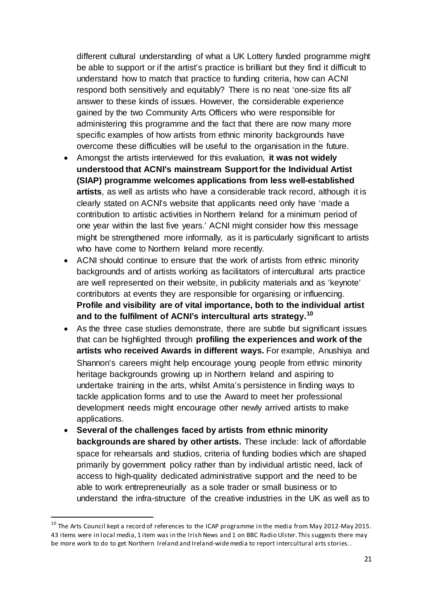different cultural understanding of what a UK Lottery funded programme might be able to support or if the artist's practice is brilliant but they find it difficult to understand how to match that practice to funding criteria, how can ACNI respond both sensitively and equitably? There is no neat 'one-size fits all' answer to these kinds of issues. However, the considerable experience gained by the two Community Arts Officers who were responsible for administering this programme and the fact that there are now many more specific examples of how artists from ethnic minority backgrounds have overcome these difficulties will be useful to the organisation in the future.

- Amongst the artists interviewed for this evaluation, **it was not widely understood that ACNI's mainstream Support for the Individual Artist (SIAP) programme welcomes applications from less well-established artists**, as well as artists who have a considerable track record, although it is clearly stated on ACNI's website that applicants need only have 'made a contribution to artistic activities in Northern Ireland for a minimum period of one year within the last five years.' ACNI might consider how this message might be strengthened more informally, as it is particularly significant to artists who have come to Northern Ireland more recently.
- ACNI should continue to ensure that the work of artists from ethnic minority backgrounds and of artists working as facilitators of intercultural arts practice are well represented on their website, in publicity materials and as 'keynote' contributors at events they are responsible for organising or influencing. **Profile and visibility are of vital importance, both to the individual artist and to the fulfilment of ACNI's intercultural arts strategy.[10](#page-21-0)**
- As the three case studies demonstrate, there are subtle but significant issues that can be highlighted through **profiling the experiences and work of the artists who received Awards in different ways.** For example, Anushiya and Shannon's careers might help encourage young people from ethnic minority heritage backgrounds growing up in Northern Ireland and aspiring to undertake training in the arts, whilst Amita's persistence in finding ways to tackle application forms and to use the Award to meet her professional development needs might encourage other newly arrived artists to make applications.
- **Several of the challenges faced by artists from ethnic minority backgrounds are shared by other artists.** These include: lack of affordable space for rehearsals and studios, criteria of funding bodies which are shaped primarily by government policy rather than by individual artistic need, lack of access to high-quality dedicated administrative support and the need to be able to work entrepreneurially as a sole trader or small business or to understand the infra-structure of the creative industries in the UK as well as to

<span id="page-21-0"></span> $^{10}$  The Arts Council kept a record of references to the ICAP programme in the media from May 2012-May 2015. 43 items were in local media, 1 item was in the Irish News and 1 on BBC Radio Ulster. This suggests there may be more work to do to get Northern Ireland and Ireland-wide media to report intercultural arts stories. .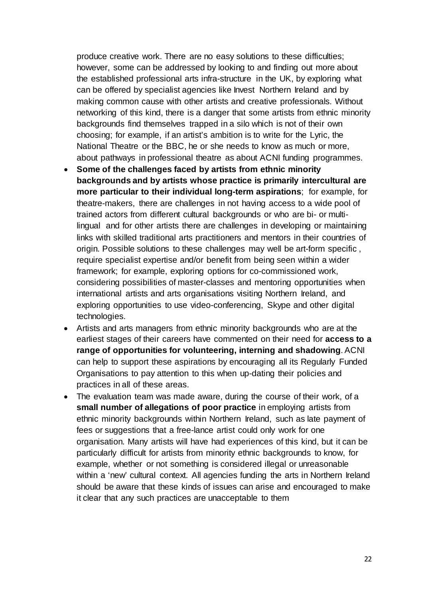produce creative work. There are no easy solutions to these difficulties; however, some can be addressed by looking to and finding out more about the established professional arts infra-structure in the UK, by exploring what can be offered by specialist agencies like Invest Northern Ireland and by making common cause with other artists and creative professionals. Without networking of this kind, there is a danger that some artists from ethnic minority backgrounds find themselves trapped in a silo which is not of their own choosing; for example, if an artist's ambition is to write for the Lyric, the National Theatre or the BBC, he or she needs to know as much or more, about pathways in professional theatre as about ACNI funding programmes.

- **Some of the challenges faced by artists from ethnic minority backgrounds and by artists whose practice is primarily intercultural are more particular to their individual long-term aspirations**; for example, for theatre-makers, there are challenges in not having access to a wide pool of trained actors from different cultural backgrounds or who are bi- or multilingual and for other artists there are challenges in developing or maintaining links with skilled traditional arts practitioners and mentors in their countries of origin. Possible solutions to these challenges may well be art-form specific , require specialist expertise and/or benefit from being seen within a wider framework; for example, exploring options for co-commissioned work, considering possibilities of master-classes and mentoring opportunities when international artists and arts organisations visiting Northern Ireland, and exploring opportunities to use video-conferencing, Skype and other digital technologies.
- Artists and arts managers from ethnic minority backgrounds who are at the earliest stages of their careers have commented on their need for **access to a range of opportunities for volunteering, interning and shadowing**. ACNI can help to support these aspirations by encouraging all its Regularly Funded Organisations to pay attention to this when up-dating their policies and practices in all of these areas.
- The evaluation team was made aware, during the course of their work, of a **small number of allegations of poor practice** in employing artists from ethnic minority backgrounds within Northern Ireland, such as late payment of fees or suggestions that a free-lance artist could only work for one organisation. Many artists will have had experiences of this kind, but it can be particularly difficult for artists from minority ethnic backgrounds to know, for example, whether or not something is considered illegal or unreasonable within a 'new' cultural context. All agencies funding the arts in Northern Ireland should be aware that these kinds of issues can arise and encouraged to make it clear that any such practices are unacceptable to them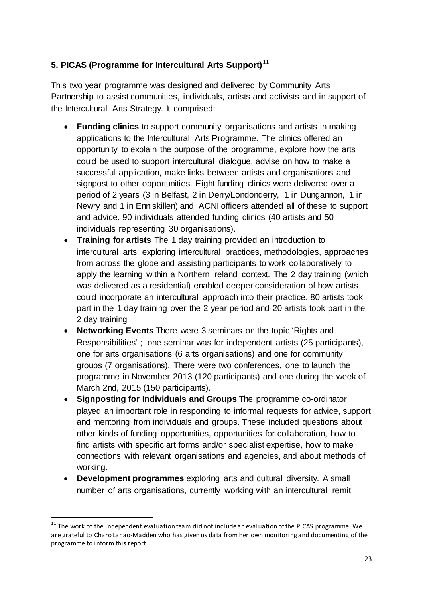# **5. PICAS (Programme for Intercultural Arts Support)[11](#page-23-0)**

This two year programme was designed and delivered by Community Arts Partnership to assist communities, individuals, artists and activists and in support of the Intercultural Arts Strategy. It comprised:

- **Funding clinics** to support community organisations and artists in making applications to the Intercultural Arts Programme. The clinics offered an opportunity to explain the purpose of the programme, explore how the arts could be used to support intercultural dialogue, advise on how to make a successful application, make links between artists and organisations and signpost to other opportunities. Eight funding clinics were delivered over a period of 2 years (3 in Belfast, 2 in Derry/Londonderry, 1 in Dungannon, 1 in Newry and 1 in Enniskillen).and ACNI officers attended all of these to support and advice. 90 individuals attended funding clinics (40 artists and 50 individuals representing 30 organisations).
- **Training for artists** The 1 day training provided an introduction to intercultural arts, exploring intercultural practices, methodologies, approaches from across the globe and assisting participants to work collaboratively to apply the learning within a Northern Ireland context. The 2 day training (which was delivered as a residential) enabled deeper consideration of how artists could incorporate an intercultural approach into their practice. 80 artists took part in the 1 day training over the 2 year period and 20 artists took part in the 2 day training
- **Networking Events** There were 3 seminars on the topic 'Rights and Responsibilities' ; one seminar was for independent artists (25 participants), one for arts organisations (6 arts organisations) and one for community groups (7 organisations). There were two conferences, one to launch the programme in November 2013 (120 participants) and one during the week of March 2nd, 2015 (150 participants).
- **Signposting for Individuals and Groups** The programme co-ordinator played an important role in responding to informal requests for advice, support and mentoring from individuals and groups. These included questions about other kinds of funding opportunities, opportunities for collaboration, how to find artists with specific art forms and/or specialist expertise, how to make connections with relevant organisations and agencies, and about methods of working.
- **Development programmes** exploring arts and cultural diversity. A small number of arts organisations, currently working with an intercultural remit

<span id="page-23-0"></span> $11$  The work of the independent evaluation team did not include an evaluation of the PICAS programme. We are grateful to Charo Lanao-Madden who has given us data from her own monitoring and documenting of the programme to inform this report.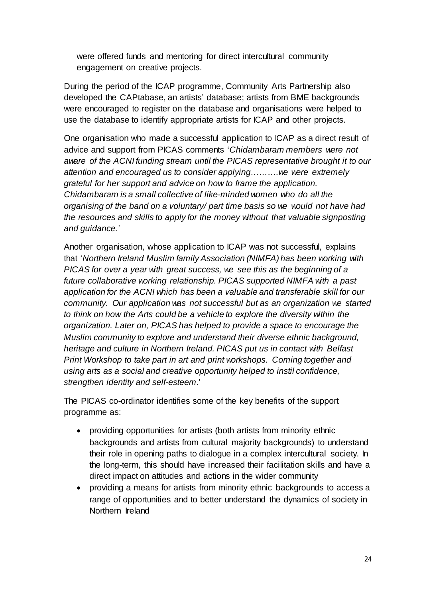were offered funds and mentoring for direct intercultural community engagement on creative projects.

During the period of the ICAP programme, Community Arts Partnership also developed the CAPtabase, an artists' database; artists from BME backgrounds were encouraged to register on the database and organisations were helped to use the database to identify appropriate artists for ICAP and other projects.

One organisation who made a successful application to ICAP as a direct result of advice and support from PICAS comments '*Chidambaram members were not aware of the ACNI funding stream until the PICAS representative brought it to our attention and encouraged us to consider applying……….we were extremely grateful for her support and advice on how to frame the application. Chidambaram is a small collective of like-minded women who do all the organising of the band on a voluntary/ part time basis so we would not have had the resources and skills to apply for the money without that valuable signposting and guidance.'* 

Another organisation, whose application to ICAP was not successful, explains that '*Northern Ireland Muslim family Association (NIMFA) has been working with PICAS for over a year with great success, we see this as the beginning of a future collaborative working relationship. PICAS supported NIMFA with a past application for the ACNI which has been a valuable and transferable skill for our community. Our application was not successful but as an organization we started to think on how the Arts could be a vehicle to explore the diversity within the organization. Later on, PICAS has helped to provide a space to encourage the Muslim community to explore and understand their diverse ethnic background, heritage and culture in Northern Ireland. PICAS put us in contact with Belfast Print Workshop to take part in art and print workshops. Coming together and using arts as a social and creative opportunity helped to instil confidence, strengthen identity and self-esteem*.'

The PICAS co-ordinator identifies some of the key benefits of the support programme as:

- providing opportunities for artists (both artists from minority ethnic backgrounds and artists from cultural majority backgrounds) to understand their role in opening paths to dialogue in a complex intercultural society. In the long-term, this should have increased their facilitation skills and have a direct impact on attitudes and actions in the wider community
- providing a means for artists from minority ethnic backgrounds to access a range of opportunities and to better understand the dynamics of society in Northern Ireland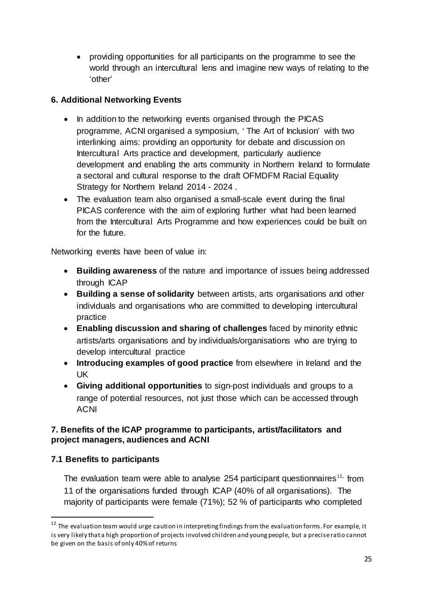• providing opportunities for all participants on the programme to see the world through an intercultural lens and imagine new ways of relating to the 'other'

# **6. Additional Networking Events**

- In addition to the networking events organised through the PICAS programme, ACNI organised a symposium, ' The Art of Inclusion' with two interlinking aims: providing an opportunity for debate and discussion on Intercultural Arts practice and development, particularly audience development and enabling the arts community in Northern Ireland to formulate a sectoral and cultural response to the draft [OFMDFM Racial Equality](http://www.ofmdfmni.gov.uk/racial-equality-strategy)  [Strategy for Northern Ireland 2014 -](http://www.ofmdfmni.gov.uk/racial-equality-strategy) 2024 .
- The evaluation team also organised a small-scale event during the final PICAS conference with the aim of exploring further what had been learned from the Intercultural Arts Programme and how experiences could be built on for the future.

Networking events have been of value in:

- **Building awareness** of the nature and importance of issues being addressed through ICAP
- **Building a sense of solidarity** between artists, arts organisations and other individuals and organisations who are committed to developing intercultural practice
- **Enabling discussion and sharing of challenges** faced by minority ethnic artists/arts organisations and by individuals/organisations who are trying to develop intercultural practice
- **Introducing examples of good practice** from elsewhere in Ireland and the UK
- **Giving additional opportunities** to sign-post individuals and groups to a range of potential resources, not just those which can be accessed through ACNI

# **7. Benefits of the ICAP programme to participants, artist/facilitators and project managers, audiences and ACNI**

# **7.1 Benefits to participants**

1

The evaluation team were able to analyse 254 participant questionnaires<sup>[12](#page-25-0),</sup> from 11 of the organisations funded through ICAP (40% of all organisations). The majority of participants were female (71%); 52 % of participants who completed

<span id="page-25-0"></span> $12$  The evaluation team would urge caution in interpreting findings from the evaluation forms. For example, it is very likely that a high proportion of projects involved children and young people, but a precise ratio cannot be given on the basis of only 40% of returns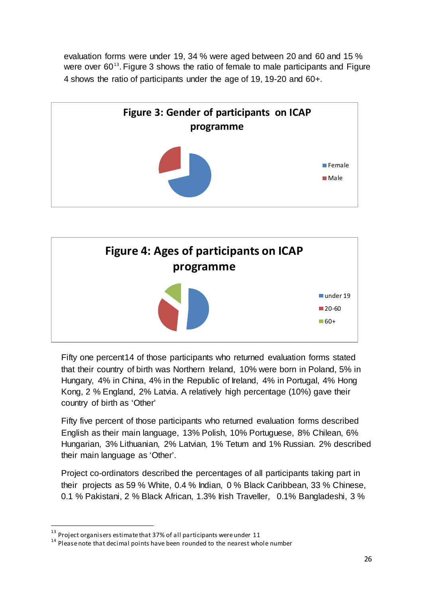evaluation forms were under 19, 34 % were aged between 20 and 60 and 15 % were over  $60^{13}$  $60^{13}$  $60^{13}$ . Figure 3 shows the ratio of female to male participants and Figure 4 shows the ratio of participants under the age of 19, 19-20 and 60+.





Fifty one percent[14](#page-26-1) of those participants who returned evaluation forms stated that their country of birth was Northern Ireland, 10% were born in Poland, 5% in Hungary, 4% in China, 4% in the Republic of Ireland, 4% in Portugal, 4% Hong Kong, 2 % England, 2% Latvia. A relatively high percentage (10%) gave their country of birth as 'Other'

Fifty five percent of those participants who returned evaluation forms described English as their main language, 13% Polish, 10% Portuguese, 8% Chilean, 6% Hungarian, 3% Lithuanian, 2% Latvian, 1% Tetum and 1% Russian. 2% described their main language as 'Other'.

Project co-ordinators described the percentages of all participants taking part in their projects as 59 % White, 0.4 % Indian, 0 % Black Caribbean, 33 % Chinese, 0.1 % Pakistani, 2 % Black African, 1.3% Irish Traveller, 0.1% Bangladeshi, 3 %

<span id="page-26-1"></span><span id="page-26-0"></span><sup>&</sup>lt;sup>13</sup> Project organisers estimate that 37% of all participants were under 11  $14$  Please note that decimal points have been rounded to the nearest whole number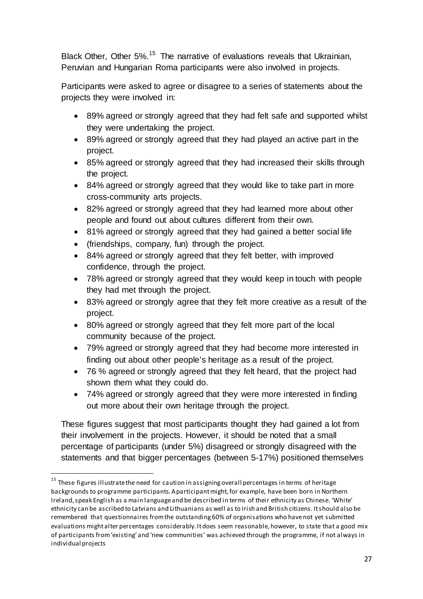Black Other, Other 5%.<sup>[15](#page-27-0)</sup> The narrative of evaluations reveals that Ukrainian, Peruvian and Hungarian Roma participants were also involved in projects.

Participants were asked to agree or disagree to a series of statements about the projects they were involved in:

- 89% agreed or strongly agreed that they had felt safe and supported whilst they were undertaking the project.
- 89% agreed or strongly agreed that they had played an active part in the project.
- 85% agreed or strongly agreed that they had increased their skills through the project.
- 84% agreed or strongly agreed that they would like to take part in more cross-community arts projects.
- 82% agreed or strongly agreed that they had learned more about other people and found out about cultures different from their own.
- 81% agreed or strongly agreed that they had gained a better social life
- (friendships, company, fun) through the project.

1

- 84% agreed or strongly agreed that they felt better, with improved confidence, through the project.
- 78% agreed or strongly agreed that they would keep in touch with people they had met through the project.
- 83% agreed or strongly agree that they felt more creative as a result of the project.
- 80% agreed or strongly agreed that they felt more part of the local community because of the project.
- 79% agreed or strongly agreed that they had become more interested in finding out about other people's heritage as a result of the project.
- 76 % agreed or strongly agreed that they felt heard, that the project had shown them what they could do.
- 74% agreed or strongly agreed that they were more interested in finding out more about their own heritage through the project.

These figures suggest that most participants thought they had gained a lot from their involvement in the projects. However, it should be noted that a small percentage of participants (under 5%) disagreed or strongly disagreed with the statements and that bigger percentages (between 5-17%) positioned themselves

<span id="page-27-0"></span><sup>&</sup>lt;sup>15</sup> These figures illustrate the need for caution in assigning overall percentages in terms of heritage backgrounds to programme participants. A participant might, for example, have been born in Northern Ireland, speak English as a main language and be described in terms of their ethnicity as Chinese. 'White' ethnicity can be ascribed to Latvians and Lithuanians as well as to Irish and British citizens. It should also be remembered that questionnaires from the outstanding 60% of organisations who have not yet submitted evaluations might alter percentages considerably. It does seem reasonable, however, to state that a good mix of participants from 'existing' and 'new communities' was achieved through the programme, if not always in individual projects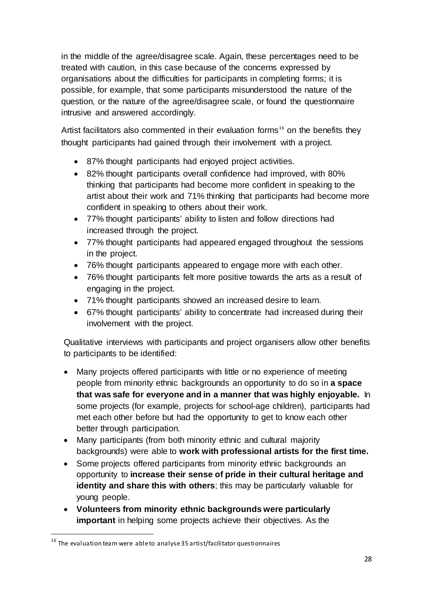in the middle of the agree/disagree scale. Again, these percentages need to be treated with caution, in this case because of the concerns expressed by organisations about the difficulties for participants in completing forms; it is possible, for example, that some participants misunderstood the nature of the question, or the nature of the agree/disagree scale, or found the questionnaire intrusive and answered accordingly.

Artist facilitators also commented in their evaluation forms<sup>[16](#page-28-0)</sup> on the benefits they thought participants had gained through their involvement with a project.

- 87% thought participants had enjoyed project activities.
- 82% thought participants overall confidence had improved, with 80% thinking that participants had become more confident in speaking to the artist about their work and 71% thinking that participants had become more confident in speaking to others about their work.
- 77% thought participants' ability to listen and follow directions had increased through the project.
- 77% thought participants had appeared engaged throughout the sessions in the project.
- 76% thought participants appeared to engage more with each other.
- 76% thought participants felt more positive towards the arts as a result of engaging in the project.
- 71% thought participants showed an increased desire to learn.
- 67% thought participants' ability to concentrate had increased during their involvement with the project.

Qualitative interviews with participants and project organisers allow other benefits to participants to be identified:

- Many projects offered participants with little or no experience of meeting people from minority ethnic backgrounds an opportunity to do so in **a space that was safe for everyone and in a manner that was highly enjoyable.** In some projects (for example, projects for school-age children), participants had met each other before but had the opportunity to get to know each other better through participation.
- Many participants (from both minority ethnic and cultural majority backgrounds) were able to **work with professional artists for the first time.**
- Some projects offered participants from minority ethnic backgrounds an opportunity to **increase their sense of pride in their cultural heritage and identity and share this with others**; this may be particularly valuable for young people.
- **Volunteers from minority ethnic backgrounds were particularly important** in helping some projects achieve their objectives. As the

<span id="page-28-0"></span> $16$  The evaluation team were able to analyse 35 artist/facilitator questionnaires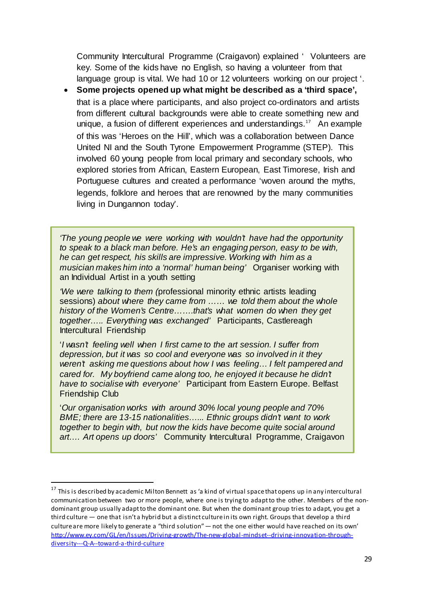Community Intercultural Programme (Craigavon) explained ' Volunteers are key. Some of the kids have no English, so having a volunteer from that language group is vital. We had 10 or 12 volunteers working on our project '.

• **Some projects opened up what might be described as a 'third space',** that is a place where participants, and also project co-ordinators and artists from different cultural backgrounds were able to create something new and unique, a fusion of different experiences and understandings.<sup>[17](#page-29-0)</sup> An example of this was 'Heroes on the Hill', which was a collaboration between Dance United NI and the South Tyrone Empowerment Programme (STEP). This involved 60 young people from local primary and secondary schools, who explored stories from African, Eastern European, East Timorese, Irish and Portuguese cultures and created a performance 'woven around the myths, legends, folklore and heroes that are renowned by the many communities living in Dungannon today'.

*'The young people we were working with wouldn't have had the opportunity to speak to a black man before. He's an engaging person, easy to be with, he can get respect, his skills are impressive. Working with him as a musician makes him into a 'normal' human being'* Organiser working with an Individual Artist in a youth setting

*'We were talking to them (*professional minority ethnic artists leading sessions) *about where they came from …… we told them about the whole history of the Women's Centre…….that's what women do when they get together….. Everything was exchanged'* Participants, Castlereagh Intercultural Friendship

'*I wasn't feeling well when I first came to the art session. I suffer from depression, but it was so cool and everyone was so involved in it they weren't asking me questions about how I was feeling… I felt pampered and cared for. My boyfriend came along too, he enjoyed it because he didn't have to socialise with everyone'* Participant from Eastern Europe. Belfast Friendship Club

'*Our organisation works with around 30% local young people and 70% BME; there are 13-15 nationalities…... Ethnic groups didn't want to work together to begin with, but now the kids have become quite social around art…. Art opens up doors'* Community Intercultural Programme, Craigavon

<span id="page-29-0"></span><sup>&</sup>lt;sup>17</sup> This is described by academic Milton Bennett as 'a kind of virtual space that opens up in any intercultural communication between two or more people, where one is trying to adapt to the other. Members of the nondominant group usually adapt to the dominant one. But when the dominant group tries to adapt, you get a third culture — one that isn't a hybrid but a distinct culture in its own right. Groups that develop a third culture are more likely to generate a "third solution" — not the one either would have reached on its own' [http://www.ey.com/GL/en/Issues/Driving-growth/The-new-global-mindset--driving-innovation-through](http://www.ey.com/GL/en/Issues/Driving-growth/The-new-global-mindset--driving-innovation-through-diversity---Q-A--toward-a-third-culture)[diversity---Q-A--toward-a-third-culture](http://www.ey.com/GL/en/Issues/Driving-growth/The-new-global-mindset--driving-innovation-through-diversity---Q-A--toward-a-third-culture)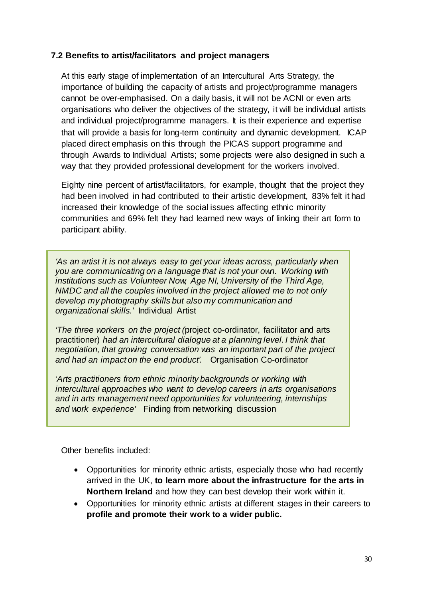# **7.2 Benefits to artist/facilitators and project managers**

At this early stage of implementation of an Intercultural Arts Strategy, the importance of building the capacity of artists and project/programme managers cannot be over-emphasised. On a daily basis, it will not be ACNI or even arts organisations who deliver the objectives of the strategy, it will be individual artists and individual project/programme managers. It is their experience and expertise that will provide a basis for long-term continuity and dynamic development. ICAP placed direct emphasis on this through the PICAS support programme and through Awards to Individual Artists; some projects were also designed in such a way that they provided professional development for the workers involved.

Eighty nine percent of artist/facilitators, for example, thought that the project they had been involved in had contributed to their artistic development, 83% felt it had increased their knowledge of the social issues affecting ethnic minority communities and 69% felt they had learned new ways of linking their art form to participant ability.

*'As an artist it is not always easy to get your ideas across, particularly when you are communicating on a language that is not your own. Working with institutions such as Volunteer Now, Age NI, University of the Third Age, NMDC and all the couples involved in the project allowed me to not only develop my photography skills but also my communication and organizational skills.'* Individual Artist

*'The three workers on the project (*project co-ordinator, facilitator and arts practitioner) *had an intercultural dialogue at a planning level. I think that negotiation, that growing conversation was an important part of the project and had an impact on the end product'.* Organisation Co-ordinator

'*Arts practitioners from ethnic minority backgrounds or working with intercultural approaches who want to develop careers in arts organisations and in arts management need opportunities for volunteering, internships and work experience'* Finding from networking discussion

Other benefits included:

- Opportunities for minority ethnic artists, especially those who had recently arrived in the UK, **to learn more about the infrastructure for the arts in Northern Ireland** and how they can best develop their work within it.
- Opportunities for minority ethnic artists at different stages in their careers to **profile and promote their work to a wider public.**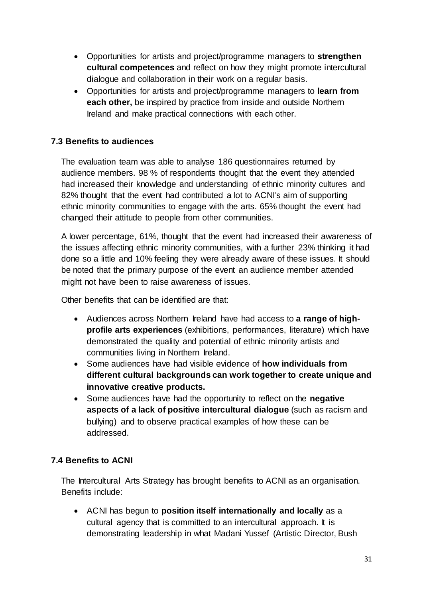- Opportunities for artists and project/programme managers to **strengthen cultural competences** and reflect on how they might promote intercultural dialogue and collaboration in their work on a regular basis.
- Opportunities for artists and project/programme managers to **learn from each other,** be inspired by practice from inside and outside Northern Ireland and make practical connections with each other.

# **7.3 Benefits to audiences**

The evaluation team was able to analyse 186 questionnaires returned by audience members. 98 % of respondents thought that the event they attended had increased their knowledge and understanding of ethnic minority cultures and 82% thought that the event had contributed a lot to ACNI's aim of supporting ethnic minority communities to engage with the arts. 65% thought the event had changed their attitude to people from other communities.

A lower percentage, 61%, thought that the event had increased their awareness of the issues affecting ethnic minority communities, with a further 23% thinking it had done so a little and 10% feeling they were already aware of these issues. It should be noted that the primary purpose of the event an audience member attended might not have been to raise awareness of issues.

Other benefits that can be identified are that:

- Audiences across Northern Ireland have had access to **a range of highprofile arts experiences** (exhibitions, performances, literature) which have demonstrated the quality and potential of ethnic minority artists and communities living in Northern Ireland.
- Some audiences have had visible evidence of **how individuals from different cultural backgrounds can work together to create unique and innovative creative products.**
- Some audiences have had the opportunity to reflect on the **negative aspects of a lack of positive intercultural dialogue** (such as racism and bullying) and to observe practical examples of how these can be addressed.

# **7.4 Benefits to ACNI**

The Intercultural Arts Strategy has brought benefits to ACNI as an organisation. Benefits include:

• ACNI has begun to **position itself internationally and locally** as a cultural agency that is committed to an intercultural approach. It is demonstrating leadership in what Madani Yussef (Artistic Director, Bush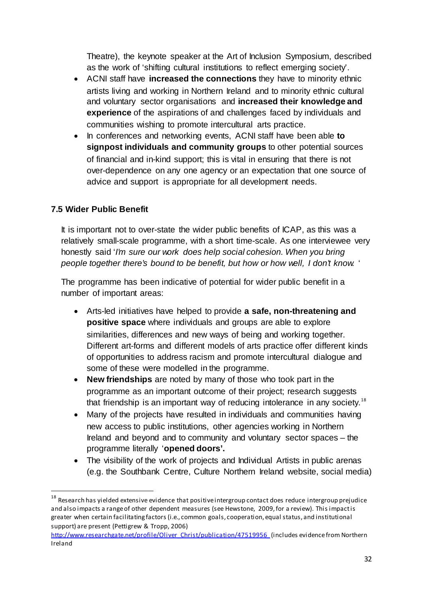Theatre), the keynote speaker at the Art of Inclusion Symposium, described as the work of 'shifting cultural institutions to reflect emerging society'.

- ACNI staff have **increased the connections** they have to minority ethnic artists living and working in Northern Ireland and to minority ethnic cultural and voluntary sector organisations and **increased their knowledge and experience** of the aspirations of and challenges faced by individuals and communities wishing to promote intercultural arts practice.
- In conferences and networking events, ACNI staff have been able **to signpost individuals and community groups** to other potential sources of financial and in-kind support; this is vital in ensuring that there is not over-dependence on any one agency or an expectation that one source of advice and support is appropriate for all development needs.

# **7.5 Wider Public Benefit**

1

It is important not to over-state the wider public benefits of ICAP, as this was a relatively small-scale programme, with a short time-scale. As one interviewee very honestly said '*I'm sure our work does help social cohesion. When you bring people together there's bound to be benefit, but how or how well, I don't know.* '

The programme has been indicative of potential for wider public benefit in a number of important areas:

- Arts-led initiatives have helped to provide **a safe, non-threatening and positive space** where individuals and groups are able to explore similarities, differences and new ways of being and working together. Different art-forms and different models of arts practice offer different kinds of opportunities to address racism and promote intercultural dialogue and some of these were modelled in the programme.
- **New friendships** are noted by many of those who took part in the programme as an important outcome of their project; research suggests that friendship is an important way of reducing intolerance in any society.<sup>[18](#page-32-0)</sup>
- Many of the projects have resulted in individuals and communities having new access to public institutions, other agencies working in Northern Ireland and beyond and to community and voluntary sector spaces – the programme literally '**opened doors'.**
- The visibility of the work of projects and Individual Artists in public arenas (e.g. the Southbank Centre, Culture Northern Ireland website, social media)

<span id="page-32-0"></span> $^{18}$  Research has yielded extensive evidence that positive intergroup contact does reduce intergroup prejudice and also impacts a range of other dependent measures (see Hewstone, 2009, for a review). This impact is greater when certain facilitating factors (i.e., common goals, cooperation, equal status, and institutional support) are present (Pettigrew & Tropp, 2006)

[http://www.researchgate.net/profile/Oliver\\_Christ/publication/47519956\\_](http://www.researchgate.net/profile/Oliver_Christ/publication/47519956_)(includes evidence from Northern Ireland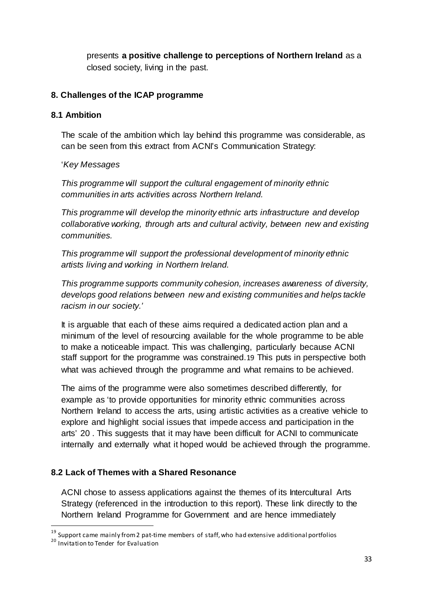presents **a positive challenge to perceptions of Northern Ireland** as a closed society, living in the past.

# **8. Challenges of the ICAP programme**

#### **8.1 Ambition**

The scale of the ambition which lay behind this programme was considerable, as can be seen from this extract from ACNI's Communication Strategy:

#### '*Key Messages*

*This programme will support the cultural engagement of minority ethnic communities in arts activities across Northern Ireland.*

*This programme will develop the minority ethnic arts infrastructure and develop collaborative working, through arts and cultural activity, between new and existing communities.* 

*This programme will support the professional development of minority ethnic artists living and working in Northern Ireland.*

*This programme supports community cohesion, increases awareness of diversity, develops good relations between new and existing communities and helps tackle racism in our society.'*

It is arguable that each of these aims required a dedicated action plan and a minimum of the level of resourcing available for the whole programme to be able to make a noticeable impact. This was challenging, particularly because ACNI staff support for the programme was constrained.[19](#page-33-0) This puts in perspective both what was achieved through the programme and what remains to be achieved.

The aims of the programme were also sometimes described differently, for example as 'to provide opportunities for minority ethnic communities across Northern Ireland to access the arts, using artistic activities as a creative vehicle to explore and highlight social issues that impede access and participation in the arts' [20](#page-33-1) . This suggests that it may have been difficult for ACNI to communicate internally and externally what it hoped would be achieved through the programme.

# **8.2 Lack of Themes with a Shared Resonance**

ACNI chose to assess applications against the themes of its Intercultural Arts Strategy (referenced in the introduction to this report). These link directly to the Northern Ireland Programme for Government and are hence immediately

<span id="page-33-0"></span><sup>&</sup>lt;sup>19</sup> Support came mainly from 2 pat-time members of staff, who had extensive additional portfolios<br><sup>20</sup> Invitation to Tender for Evaluation

<span id="page-33-1"></span>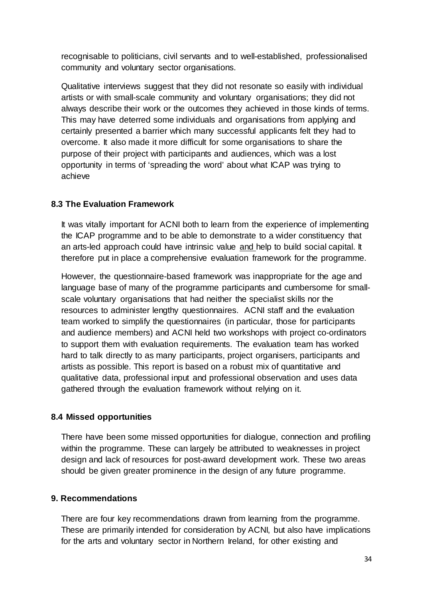recognisable to politicians, civil servants and to well-established, professionalised community and voluntary sector organisations.

Qualitative interviews suggest that they did not resonate so easily with individual artists or with small-scale community and voluntary organisations; they did not always describe their work or the outcomes they achieved in those kinds of terms. This may have deterred some individuals and organisations from applying and certainly presented a barrier which many successful applicants felt they had to overcome. It also made it more difficult for some organisations to share the purpose of their project with participants and audiences, which was a lost opportunity in terms of 'spreading the word' about what ICAP was trying to achieve

# **8.3 The Evaluation Framework**

It was vitally important for ACNI both to learn from the experience of implementing the ICAP programme and to be able to demonstrate to a wider constituency that an arts-led approach could have intrinsic value and help to build social capital. It therefore put in place a comprehensive evaluation framework for the programme.

However, the questionnaire-based framework was inappropriate for the age and language base of many of the programme participants and cumbersome for smallscale voluntary organisations that had neither the specialist skills nor the resources to administer lengthy questionnaires. ACNI staff and the evaluation team worked to simplify the questionnaires (in particular, those for participants and audience members) and ACNI held two workshops with project co-ordinators to support them with evaluation requirements. The evaluation team has worked hard to talk directly to as many participants, project organisers, participants and artists as possible. This report is based on a robust mix of quantitative and qualitative data, professional input and professional observation and uses data gathered through the evaluation framework without relying on it.

# **8.4 Missed opportunities**

There have been some missed opportunities for dialogue, connection and profiling within the programme. These can largely be attributed to weaknesses in project design and lack of resources for post-award development work. These two areas should be given greater prominence in the design of any future programme.

# **9. Recommendations**

There are four key recommendations drawn from learning from the programme. These are primarily intended for consideration by ACNI, but also have implications for the arts and voluntary sector in Northern Ireland, for other existing and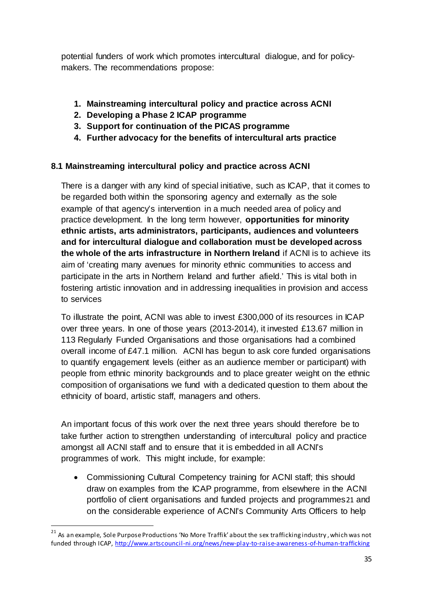potential funders of work which promotes intercultural dialogue, and for policymakers. The recommendations propose:

- **1. Mainstreaming intercultural policy and practice across ACNI**
- **2. Developing a Phase 2 ICAP programme**
- **3. Support for continuation of the PICAS programme**
- **4. Further advocacy for the benefits of intercultural arts practice**

# **8.1 Mainstreaming intercultural policy and practice across ACNI**

There is a danger with any kind of special initiative, such as ICAP, that it comes to be regarded both within the sponsoring agency and externally as the sole example of that agency's intervention in a much needed area of policy and practice development. In the long term however, **opportunities for minority ethnic artists, arts administrators, participants, audiences and volunteers and for intercultural dialogue and collaboration must be developed across the whole of the arts infrastructure in Northern Ireland** if ACNI is to achieve its aim of 'creating many avenues for minority ethnic communities to access and participate in the arts in Northern Ireland and further afield.' This is vital both in fostering artistic innovation and in addressing inequalities in provision and access to services

To illustrate the point, ACNI was able to invest £300,000 of its resources in ICAP over three years. In one of those years (2013-2014), it invested £13.67 million in 113 Regularly Funded Organisations and those organisations had a combined overall income of £47.1 million. ACNI has begun to ask core funded organisations to quantify engagement levels (either as an audience member or participant) with people from ethnic minority backgrounds and to place greater weight on the ethnic composition of organisations we fund with a dedicated question to them about the ethnicity of board, artistic staff, managers and others.

An important focus of this work over the next three years should therefore be to take further action to strengthen understanding of intercultural policy and practice amongst all ACNI staff and to ensure that it is embedded in all ACNI's programmes of work. This might include, for example:

• Commissioning Cultural Competency training for ACNI staff; this should draw on examples from the ICAP programme, from elsewhere in the ACNI portfolio of client organisations and funded projects and programmes[21](#page-35-0) and on the considerable experience of ACNI's Community Arts Officers to help

<span id="page-35-0"></span><sup>&</sup>lt;sup>21</sup> As an example, Sole Purpose Productions 'No More Traffik' about the sex trafficking industry , which was not funded through ICAP[, http://www.artscouncil-ni.org/news/new-play-to-raise-awareness-of-human-trafficking](http://www.artscouncil-ni.org/news/new-play-to-raise-awareness-of-human-trafficking)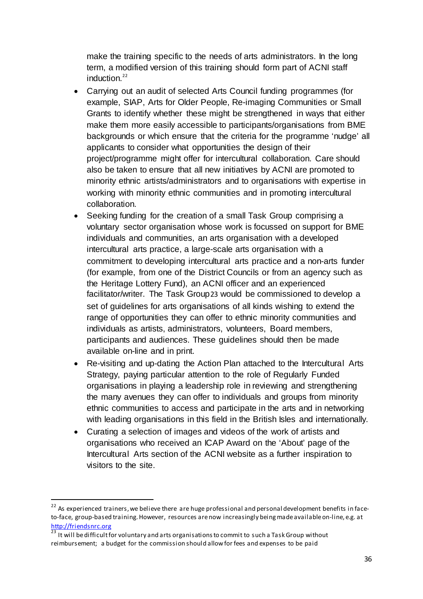make the training specific to the needs of arts administrators. In the long term, a modified version of this training should form part of ACNI staff induction. [22](#page-36-0)

- Carrying out an audit of selected Arts Council funding programmes (for example, SIAP, Arts for Older People, Re-imaging Communities or Small Grants to identify whether these might be strengthened in ways that either make them more easily accessible to participants/organisations from BME backgrounds or which ensure that the criteria for the programme 'nudge' all applicants to consider what opportunities the design of their project/programme might offer for intercultural collaboration. Care should also be taken to ensure that all new initiatives by ACNI are promoted to minority ethnic artists/administrators and to organisations with expertise in working with minority ethnic communities and in promoting intercultural collaboration.
- Seeking funding for the creation of a small Task Group comprising a voluntary sector organisation whose work is focussed on support for BME individuals and communities, an arts organisation with a developed intercultural arts practice, a large-scale arts organisation with a commitment to developing intercultural arts practice and a non-arts funder (for example, from one of the District Councils or from an agency such as the Heritage Lottery Fund), an ACNI officer and an experienced facilitator/writer. The Task Group[23](#page-36-1) would be commissioned to develop a set of guidelines for arts organisations of all kinds wishing to extend the range of opportunities they can offer to ethnic minority communities and individuals as artists, administrators, volunteers, Board members, participants and audiences. These guidelines should then be made available on-line and in print.
- Re-visiting and up-dating the Action Plan attached to the Intercultural Arts Strategy, paying particular attention to the role of Regularly Funded organisations in playing a leadership role in reviewing and strengthening the many avenues they can offer to individuals and groups from minority ethnic communities to access and participate in the arts and in networking with leading organisations in this field in the British Isles and internationally.
- Curating a selection of images and videos of the work of artists and organisations who received an ICAP Award on the 'About' page of the Intercultural Arts section of the ACNI website as a further inspiration to visitors to the site.

<span id="page-36-0"></span><sup>&</sup>lt;sup>22</sup> As experienced trainers, we believe there are huge professional and personal development benefits in faceto-face, group-based training. However, resources are now increasingly being made available on-line, e.g. at [http://friendsnrc.org](http://friendsnrc.org/)

<span id="page-36-1"></span> $\frac{23}{23}$  It will be difficult for voluntary and arts organisations to commit to such a Task Group without reimbursement; a budget for the commission should allow for fees and expenses to be paid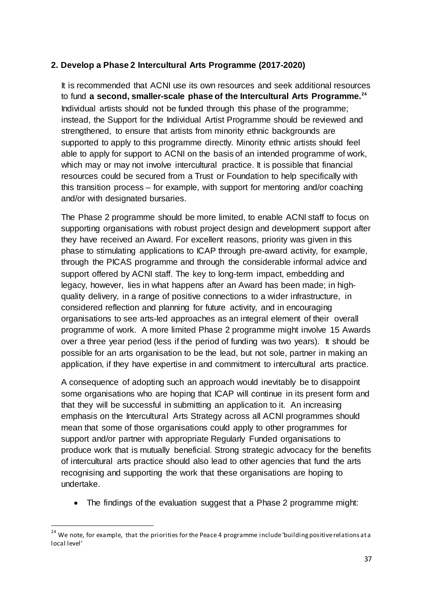# **2. Develop a Phase 2 Intercultural Arts Programme (2017-2020)**

It is recommended that ACNI use its own resources and seek additional resources to fund **a second, smaller-scale phase of the Intercultural Arts Programme.[24](#page-37-0)** Individual artists should not be funded through this phase of the programme; instead, the Support for the Individual Artist Programme should be reviewed and strengthened, to ensure that artists from minority ethnic backgrounds are supported to apply to this programme directly. Minority ethnic artists should feel able to apply for support to ACNI on the basis of an intended programme of work, which may or may not involve intercultural practice. It is possible that financial resources could be secured from a Trust or Foundation to help specifically with this transition process – for example, with support for mentoring and/or coaching and/or with designated bursaries.

The Phase 2 programme should be more limited, to enable ACNI staff to focus on supporting organisations with robust project design and development support after they have received an Award. For excellent reasons, priority was given in this phase to stimulating applications to ICAP through pre-award activity, for example, through the PICAS programme and through the considerable informal advice and support offered by ACNI staff. The key to long-term impact, embedding and legacy, however, lies in what happens after an Award has been made; in highquality delivery, in a range of positive connections to a wider infrastructure, in considered reflection and planning for future activity, and in encouraging organisations to see arts-led approaches as an integral element of their overall programme of work. A more limited Phase 2 programme might involve 15 Awards over a three year period (less if the period of funding was two years). It should be possible for an arts organisation to be the lead, but not sole, partner in making an application, if they have expertise in and commitment to intercultural arts practice.

A consequence of adopting such an approach would inevitably be to disappoint some organisations who are hoping that ICAP will continue in its present form and that they will be successful in submitting an application to it. An increasing emphasis on the Intercultural Arts Strategy across all ACNI programmes should mean that some of those organisations could apply to other programmes for support and/or partner with appropriate Regularly Funded organisations to produce work that is mutually beneficial. Strong strategic advocacy for the benefits of intercultural arts practice should also lead to other agencies that fund the arts recognising and supporting the work that these organisations are hoping to undertake.

• The findings of the evaluation suggest that a Phase 2 programme might:

<span id="page-37-0"></span><sup>&</sup>lt;sup>24</sup> We note, for example, that the priorities for the Peace 4 programme include 'building positive relations at a local level'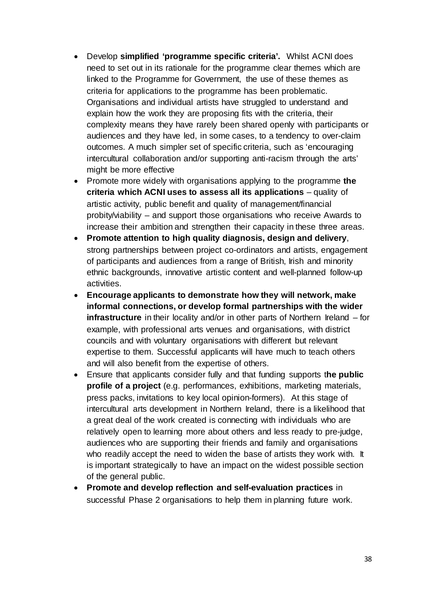- Develop **simplified 'programme specific criteria'.** Whilst ACNI does need to set out in its rationale for the programme clear themes which are linked to the Programme for Government, the use of these themes as criteria for applications to the programme has been problematic. Organisations and individual artists have struggled to understand and explain how the work they are proposing fits with the criteria, their complexity means they have rarely been shared openly with participants or audiences and they have led, in some cases, to a tendency to over-claim outcomes. A much simpler set of specific criteria, such as 'encouraging intercultural collaboration and/or supporting anti-racism through the arts' might be more effective
- Promote more widely with organisations applying to the programme **the criteria which ACNI uses to assess all its applications** – quality of artistic activity, public benefit and quality of management/financial probity/viability – and support those organisations who receive Awards to increase their ambition and strengthen their capacity in these three areas.
- **Promote attention to high quality diagnosis, design and delivery**, strong partnerships between project co-ordinators and artists, engagement of participants and audiences from a range of British, Irish and minority ethnic backgrounds, innovative artistic content and well-planned follow-up activities.
- **Encourage applicants to demonstrate how they will network, make informal connections, or develop formal partnerships with the wider infrastructure** in their locality and/or in other parts of Northern Ireland – for example, with professional arts venues and organisations, with district councils and with voluntary organisations with different but relevant expertise to them. Successful applicants will have much to teach others and will also benefit from the expertise of others.
- Ensure that applicants consider fully and that funding supports t**he public profile of a project** (e.g. performances, exhibitions, marketing materials, press packs, invitations to key local opinion-formers). At this stage of intercultural arts development in Northern Ireland, there is a likelihood that a great deal of the work created is connecting with individuals who are relatively open to learning more about others and less ready to pre-judge, audiences who are supporting their friends and family and organisations who readily accept the need to widen the base of artists they work with. It is important strategically to have an impact on the widest possible section of the general public.
- **Promote and develop reflection and self-evaluation practices** in successful Phase 2 organisations to help them in planning future work.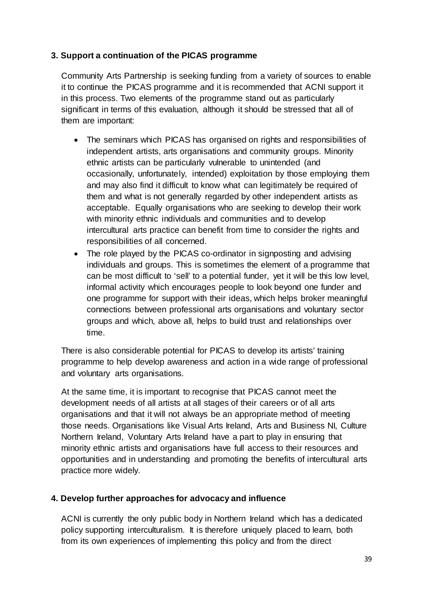# **3. Support a continuation of the PICAS programme**

Community Arts Partnership is seeking funding from a variety of sources to enable it to continue the PICAS programme and it is recommended that ACNI support it in this process. Two elements of the programme stand out as particularly significant in terms of this evaluation, although it should be stressed that all of them are important:

- The seminars which PICAS has organised on rights and responsibilities of independent artists, arts organisations and community groups. Minority ethnic artists can be particularly vulnerable to unintended (and occasionally, unfortunately, intended) exploitation by those employing them and may also find it difficult to know what can legitimately be required of them and what is not generally regarded by other independent artists as acceptable. Equally organisations who are seeking to develop their work with minority ethnic individuals and communities and to develop intercultural arts practice can benefit from time to consider the rights and responsibilities of all concerned.
- The role played by the PICAS co-ordinator in signposting and advising individuals and groups. This is sometimes the element of a programme that can be most difficult to 'sell' to a potential funder, yet it will be this low level, informal activity which encourages people to look beyond one funder and one programme for support with their ideas, which helps broker meaningful connections between professional arts organisations and voluntary sector groups and which, above all, helps to build trust and relationships over time.

There is also considerable potential for PICAS to develop its artists' training programme to help develop awareness and action in a wide range of professional and voluntary arts organisations.

At the same time, it is important to recognise that PICAS cannot meet the development needs of all artists at all stages of their careers or of all arts organisations and that it will not always be an appropriate method of meeting those needs. Organisations like Visual Arts Ireland, Arts and Business NI, Culture Northern Ireland, Voluntary Arts Ireland have a part to play in ensuring that minority ethnic artists and organisations have full access to their resources and opportunities and in understanding and promoting the benefits of intercultural arts practice more widely.

# **4. Develop further approaches for advocacy and influence**

ACNI is currently the only public body in Northern Ireland which has a dedicated policy supporting interculturalism. It is therefore uniquely placed to learn, both from its own experiences of implementing this policy and from the direct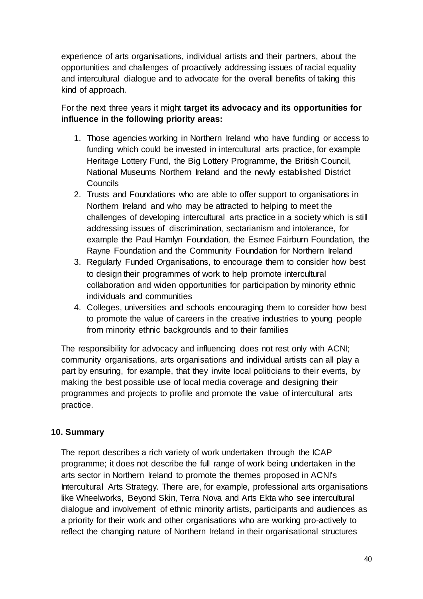experience of arts organisations, individual artists and their partners, about the opportunities and challenges of proactively addressing issues of racial equality and intercultural dialogue and to advocate for the overall benefits of taking this kind of approach.

For the next three years it might **target its advocacy and its opportunities for influence in the following priority areas:**

- 1. Those agencies working in Northern Ireland who have funding or access to funding which could be invested in intercultural arts practice, for example Heritage Lottery Fund, the Big Lottery Programme, the British Council, National Museums Northern Ireland and the newly established District **Councils**
- 2. Trusts and Foundations who are able to offer support to organisations in Northern Ireland and who may be attracted to helping to meet the challenges of developing intercultural arts practice in a society which is still addressing issues of discrimination, sectarianism and intolerance, for example the Paul Hamlyn Foundation, the Esmee Fairburn Foundation, the Rayne Foundation and the Community Foundation for Northern Ireland
- 3. Regularly Funded Organisations, to encourage them to consider how best to design their programmes of work to help promote intercultural collaboration and widen opportunities for participation by minority ethnic individuals and communities
- 4. Colleges, universities and schools encouraging them to consider how best to promote the value of careers in the creative industries to young people from minority ethnic backgrounds and to their families

The responsibility for advocacy and influencing does not rest only with ACNI; community organisations, arts organisations and individual artists can all play a part by ensuring, for example, that they invite local politicians to their events, by making the best possible use of local media coverage and designing their programmes and projects to profile and promote the value of intercultural arts practice.

# **10. Summary**

The report describes a rich variety of work undertaken through the ICAP programme; it does not describe the full range of work being undertaken in the arts sector in Northern Ireland to promote the themes proposed in ACNI's Intercultural Arts Strategy. There are, for example, professional arts organisations like Wheelworks, Beyond Skin, Terra Nova and Arts Ekta who see intercultural dialogue and involvement of ethnic minority artists, participants and audiences as a priority for their work and other organisations who are working pro-actively to reflect the changing nature of Northern Ireland in their organisational structures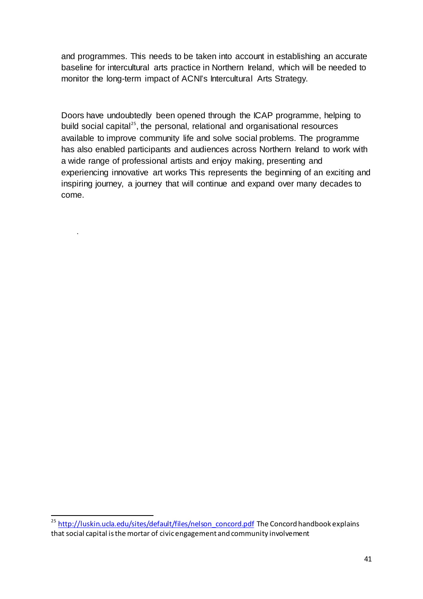and programmes. This needs to be taken into account in establishing an accurate baseline for intercultural arts practice in Northern Ireland, which will be needed to monitor the long-term impact of ACNI's Intercultural Arts Strategy.

Doors have undoubtedly been opened through the ICAP programme, helping to build social capital<sup>[25](#page-41-0)</sup>, the personal, relational and organisational resources available to improve community life and solve social problems. The programme has also enabled participants and audiences across Northern Ireland to work with a wide range of professional artists and enjoy making, presenting and experiencing innovative art works This represents the beginning of an exciting and inspiring journey, a journey that will continue and expand over many decades to come.

.

<span id="page-41-0"></span><sup>&</sup>lt;sup>25</sup> [http://luskin.ucla.edu/sites/default/files/nelson\\_concord.pdf](http://luskin.ucla.edu/sites/default/files/nelson_concord.pdf) The Concord handbook explains that social capital is the mortar of civic engagement and community involvement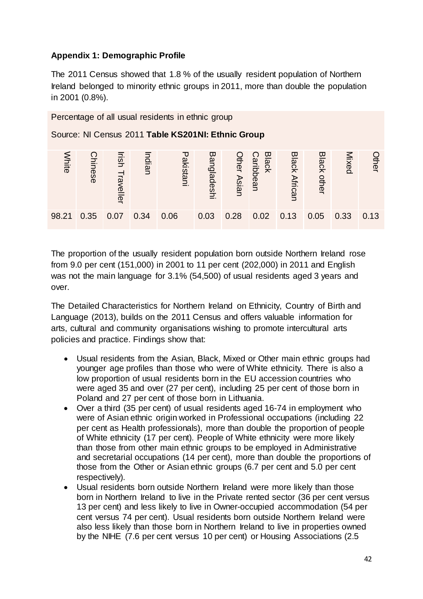# **Appendix 1: Demographic Profile**

The 2011 Census showed that 1.8 % of the usually resident population of Northern Ireland belonged to minority ethnic groups in 2011, more than double the population in 2001 (0.8%).



The proportion of the usually resident population born outside Northern Ireland rose from 9.0 per cent (151,000) in 2001 to 11 per cent (202,000) in 2011 and English was not the main language for 3.1% (54,500) of usual residents aged 3 years and over.

The Detailed Characteristics for Northern Ireland on Ethnicity, Country of Birth and Language (2013), builds on the 2011 Census and offers valuable information for arts, cultural and community organisations wishing to promote intercultural arts policies and practice. Findings show that:

- Usual residents from the Asian, Black, Mixed or Other main ethnic groups had younger age profiles than those who were of White ethnicity. There is also a low proportion of usual residents born in the EU accession countries who were aged 35 and over (27 per cent), including 25 per cent of those born in Poland and 27 per cent of those born in Lithuania.
- Over a third (35 per cent) of usual residents aged 16-74 in employment who were of Asian ethnic origin worked in Professional occupations (including 22 per cent as Health professionals), more than double the proportion of people of White ethnicity (17 per cent). People of White ethnicity were more likely than those from other main ethnic groups to be employed in Administrative and secretarial occupations (14 per cent), more than double the proportions of those from the Other or Asian ethnic groups (6.7 per cent and 5.0 per cent respectively).
- Usual residents born outside Northern Ireland were more likely than those born in Northern Ireland to live in the Private rented sector (36 per cent versus 13 per cent) and less likely to live in Owner-occupied accommodation (54 per cent versus 74 per cent). Usual residents born outside Northern Ireland were also less likely than those born in Northern Ireland to live in properties owned by the NIHE (7.6 per cent versus 10 per cent) or Housing Associations (2.5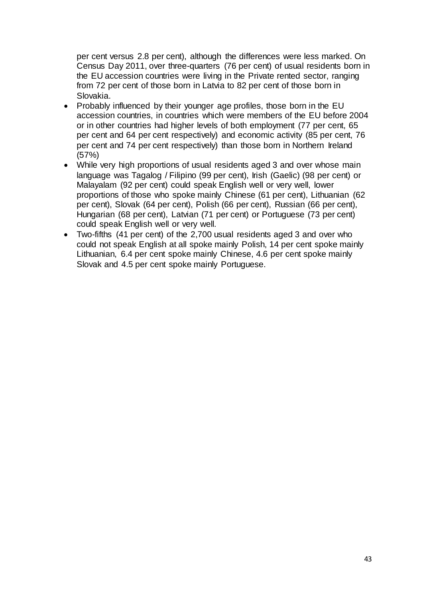per cent versus 2.8 per cent), although the differences were less marked. On Census Day 2011, over three-quarters (76 per cent) of usual residents born in the EU accession countries were living in the Private rented sector, ranging from 72 per cent of those born in Latvia to 82 per cent of those born in Slovakia.

- Probably influenced by their younger age profiles, those born in the EU accession countries, in countries which were members of the EU before 2004 or in other countries had higher levels of both employment (77 per cent, 65 per cent and 64 per cent respectively) and economic activity (85 per cent, 76 per cent and 74 per cent respectively) than those born in Northern Ireland (57%)
- While very high proportions of usual residents aged 3 and over whose main language was Tagalog / Filipino (99 per cent), Irish (Gaelic) (98 per cent) or Malayalam (92 per cent) could speak English well or very well, lower proportions of those who spoke mainly Chinese (61 per cent), Lithuanian (62 per cent), Slovak (64 per cent), Polish (66 per cent), Russian (66 per cent), Hungarian (68 per cent), Latvian (71 per cent) or Portuguese (73 per cent) could speak English well or very well.
- Two-fifths (41 per cent) of the 2,700 usual residents aged 3 and over who could not speak English at all spoke mainly Polish, 14 per cent spoke mainly Lithuanian, 6.4 per cent spoke mainly Chinese, 4.6 per cent spoke mainly Slovak and 4.5 per cent spoke mainly Portuguese.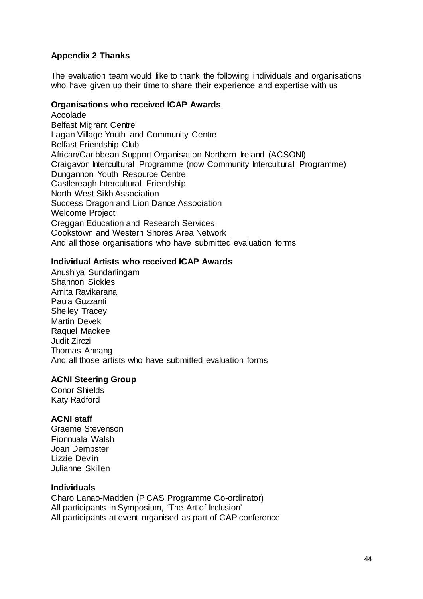# **Appendix 2 Thanks**

The evaluation team would like to thank the following individuals and organisations who have given up their time to share their experience and expertise with us

#### **Organisations who received ICAP Awards**

Accolade Belfast Migrant Centre Lagan Village Youth and Community Centre Belfast Friendship Club African/Caribbean Support Organisation Northern Ireland (ACSONI) Craigavon Intercultural Programme (now Community Intercultural Programme) Dungannon Youth Resource Centre Castlereagh Intercultural Friendship North West Sikh Association Success Dragon and Lion Dance Association Welcome Project Creggan Education and Research Services Cookstown and Western Shores Area Network And all those organisations who have submitted evaluation forms

#### **Individual Artists who received ICAP Awards**

Anushiya Sundarlingam Shannon Sickles Amita Ravikarana Paula Guzzanti Shelley Tracey Martin Devek Raquel Mackee Judit Zirczi Thomas Annang And all those artists who have submitted evaluation forms

# **ACNI Steering Group**

Conor Shields Katy Radford

# **ACNI staff**

Graeme Stevenson Fionnuala Walsh Joan Dempster Lizzie Devlin Julianne Skillen

#### **Individuals**

Charo Lanao-Madden (PICAS Programme Co-ordinator) All participants in Symposium, 'The Art of Inclusion' All participants at event organised as part of CAP conference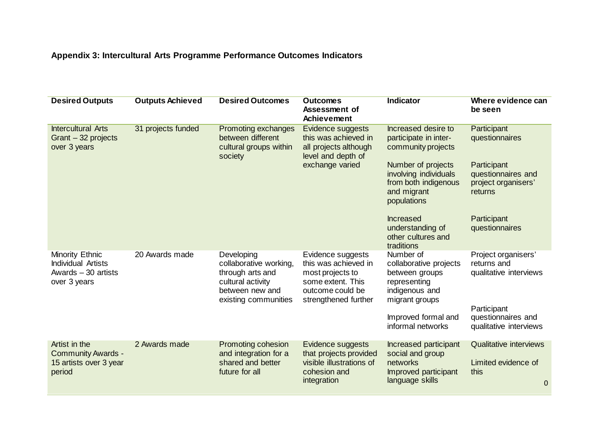# **Appendix 3: Intercultural Arts Programme Performance Outcomes Indicators**

| <b>Desired Outputs</b>                                                               | <b>Outputs Achieved</b> | <b>Desired Outcomes</b>                                                                                                  | <b>Outcomes</b><br>Assessment of<br>Achievement                                                                                | <b>Indicator</b>                                                                                          | Where evidence can<br>be seen                                                |
|--------------------------------------------------------------------------------------|-------------------------|--------------------------------------------------------------------------------------------------------------------------|--------------------------------------------------------------------------------------------------------------------------------|-----------------------------------------------------------------------------------------------------------|------------------------------------------------------------------------------|
| <b>Intercultural Arts</b><br>Grant - 32 projects<br>over 3 years                     | 31 projects funded      | Promoting exchanges<br>between different<br>cultural groups within<br>society                                            | Evidence suggests<br>this was achieved in<br>all projects although<br>level and depth of<br>exchange varied                    | Increased desire to<br>participate in inter-<br>community projects                                        | Participant<br>questionnaires                                                |
|                                                                                      |                         |                                                                                                                          |                                                                                                                                | Number of projects<br>involving individuals<br>from both indigenous<br>and migrant<br>populations         | Participant<br>questionnaires and<br>project organisers'<br>returns          |
|                                                                                      |                         |                                                                                                                          |                                                                                                                                | <b>Increased</b><br>understanding of<br>other cultures and<br>traditions                                  | Participant<br>questionnaires                                                |
| Minority Ethnic<br><b>Individual Artists</b><br>Awards $-30$ artists<br>over 3 years | 20 Awards made          | Developing<br>collaborative working,<br>through arts and<br>cultural activity<br>between new and<br>existing communities | Evidence suggests<br>this was achieved in<br>most projects to<br>some extent. This<br>outcome could be<br>strengthened further | Number of<br>collaborative projects<br>between groups<br>representing<br>indigenous and<br>migrant groups | Project organisers'<br>returns and<br>qualitative interviews                 |
|                                                                                      |                         |                                                                                                                          |                                                                                                                                | Improved formal and<br>informal networks                                                                  | Participant<br>questionnaires and<br>qualitative interviews                  |
| Artist in the<br><b>Community Awards -</b><br>15 artists over 3 year<br>period       | 2 Awards made           | Promoting cohesion<br>and integration for a<br>shared and better<br>future for all                                       | Evidence suggests<br>that projects provided<br>visible illustrations of<br>cohesion and<br>integration                         | Increased participant<br>social and group<br>networks<br>Improved participant<br>language skills          | <b>Qualitative interviews</b><br>Limited evidence of<br>this<br>$\mathbf{0}$ |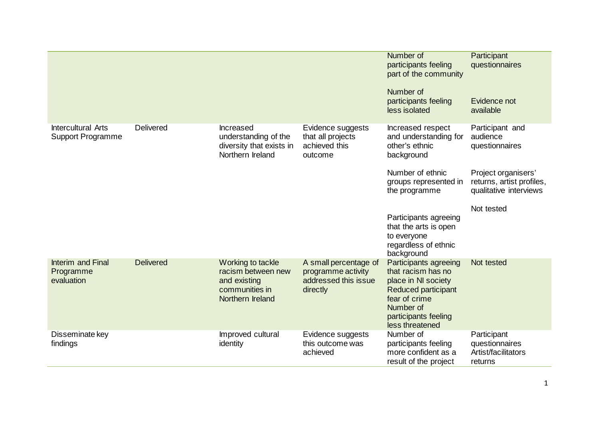|                                                       |                  |                                                                                               |                                                                                 | Number of<br>participants feeling<br>part of the community<br>Number of<br>participants feeling<br>less isolated                                                          | Participant<br>questionnaires<br>Evidence not<br>available                 |
|-------------------------------------------------------|------------------|-----------------------------------------------------------------------------------------------|---------------------------------------------------------------------------------|---------------------------------------------------------------------------------------------------------------------------------------------------------------------------|----------------------------------------------------------------------------|
| <b>Intercultural Arts</b><br><b>Support Programme</b> | <b>Delivered</b> | Increased<br>understanding of the<br>diversity that exists in<br>Northern Ireland             | Evidence suggests<br>that all projects<br>achieved this<br>outcome              | Increased respect<br>and understanding for<br>other's ethnic<br>background                                                                                                | Participant and<br>audience<br>questionnaires                              |
|                                                       |                  |                                                                                               |                                                                                 | Number of ethnic<br>groups represented in<br>the programme                                                                                                                | Project organisers'<br>returns, artist profiles,<br>qualitative interviews |
|                                                       |                  |                                                                                               |                                                                                 | Participants agreeing<br>that the arts is open<br>to everyone<br>regardless of ethnic<br>background                                                                       | Not tested                                                                 |
| Interim and Final<br>Programme<br>evaluation          | <b>Delivered</b> | Working to tackle<br>racism between new<br>and existing<br>communities in<br>Northern Ireland | A small percentage of<br>programme activity<br>addressed this issue<br>directly | Participants agreeing<br>that racism has no<br>place in NI society<br><b>Reduced participant</b><br>fear of crime<br>Number of<br>participants feeling<br>less threatened | Not tested                                                                 |
| Disseminate key<br>findings                           |                  | Improved cultural<br>identity                                                                 | Evidence suggests<br>this outcome was<br>achieved                               | Number of<br>participants feeling<br>more confident as a<br>result of the project                                                                                         | Participant<br>questionnaires<br>Artist/facilitators<br>returns            |